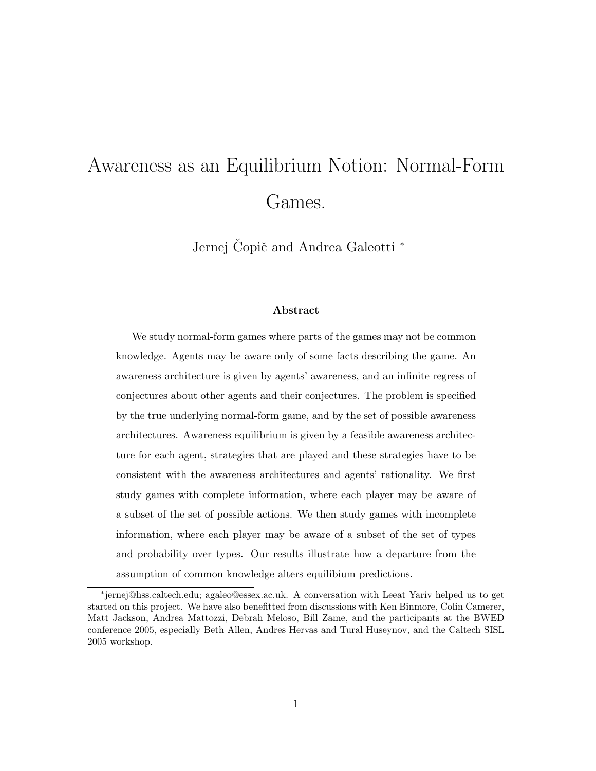# Awareness as an Equilibrium Notion: Normal-Form Games.

Jernej Copič and Andrea Galeotti <sup>\*</sup>

#### Abstract

We study normal-form games where parts of the games may not be common knowledge. Agents may be aware only of some facts describing the game. An awareness architecture is given by agents' awareness, and an infinite regress of conjectures about other agents and their conjectures. The problem is specified by the true underlying normal-form game, and by the set of possible awareness architectures. Awareness equilibrium is given by a feasible awareness architecture for each agent, strategies that are played and these strategies have to be consistent with the awareness architectures and agents' rationality. We first study games with complete information, where each player may be aware of a subset of the set of possible actions. We then study games with incomplete information, where each player may be aware of a subset of the set of types and probability over types. Our results illustrate how a departure from the assumption of common knowledge alters equilibium predictions.

<sup>∗</sup> jernej@hss.caltech.edu; agaleo@essex.ac.uk. A conversation with Leeat Yariv helped us to get started on this project. We have also benefitted from discussions with Ken Binmore, Colin Camerer, Matt Jackson, Andrea Mattozzi, Debrah Meloso, Bill Zame, and the participants at the BWED conference 2005, especially Beth Allen, Andres Hervas and Tural Huseynov, and the Caltech SISL 2005 workshop.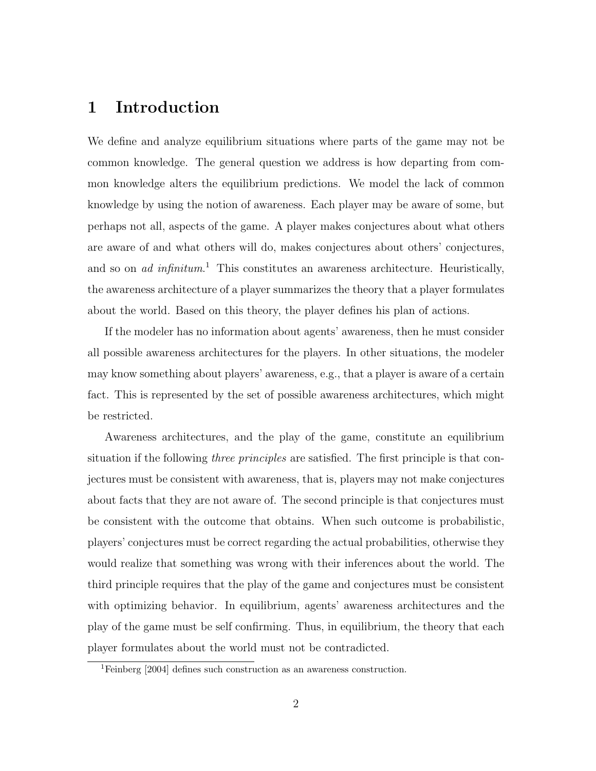### 1 Introduction

We define and analyze equilibrium situations where parts of the game may not be common knowledge. The general question we address is how departing from common knowledge alters the equilibrium predictions. We model the lack of common knowledge by using the notion of awareness. Each player may be aware of some, but perhaps not all, aspects of the game. A player makes conjectures about what others are aware of and what others will do, makes conjectures about others' conjectures, and so on *ad infinitum*.<sup>1</sup> This constitutes an awareness architecture. Heuristically, the awareness architecture of a player summarizes the theory that a player formulates about the world. Based on this theory, the player defines his plan of actions.

If the modeler has no information about agents' awareness, then he must consider all possible awareness architectures for the players. In other situations, the modeler may know something about players' awareness, e.g., that a player is aware of a certain fact. This is represented by the set of possible awareness architectures, which might be restricted.

Awareness architectures, and the play of the game, constitute an equilibrium situation if the following *three principles* are satisfied. The first principle is that conjectures must be consistent with awareness, that is, players may not make conjectures about facts that they are not aware of. The second principle is that conjectures must be consistent with the outcome that obtains. When such outcome is probabilistic, players' conjectures must be correct regarding the actual probabilities, otherwise they would realize that something was wrong with their inferences about the world. The third principle requires that the play of the game and conjectures must be consistent with optimizing behavior. In equilibrium, agents' awareness architectures and the play of the game must be self confirming. Thus, in equilibrium, the theory that each player formulates about the world must not be contradicted.

<sup>1</sup>Feinberg [2004] defines such construction as an awareness construction.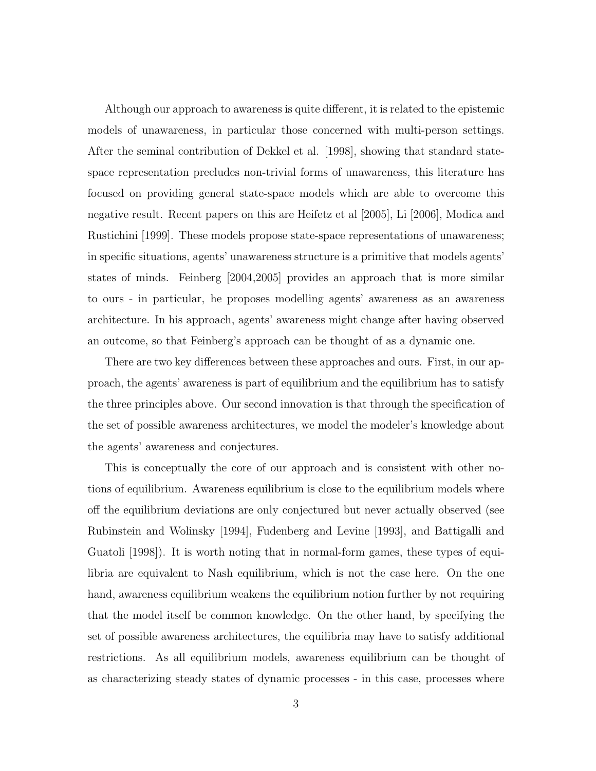Although our approach to awareness is quite different, it is related to the epistemic models of unawareness, in particular those concerned with multi-person settings. After the seminal contribution of Dekkel et al. [1998], showing that standard statespace representation precludes non-trivial forms of unawareness, this literature has focused on providing general state-space models which are able to overcome this negative result. Recent papers on this are Heifetz et al [2005], Li [2006], Modica and Rustichini [1999]. These models propose state-space representations of unawareness; in specific situations, agents' unawareness structure is a primitive that models agents' states of minds. Feinberg [2004,2005] provides an approach that is more similar to ours - in particular, he proposes modelling agents' awareness as an awareness architecture. In his approach, agents' awareness might change after having observed an outcome, so that Feinberg's approach can be thought of as a dynamic one.

There are two key differences between these approaches and ours. First, in our approach, the agents' awareness is part of equilibrium and the equilibrium has to satisfy the three principles above. Our second innovation is that through the specification of the set of possible awareness architectures, we model the modeler's knowledge about the agents' awareness and conjectures.

This is conceptually the core of our approach and is consistent with other notions of equilibrium. Awareness equilibrium is close to the equilibrium models where off the equilibrium deviations are only conjectured but never actually observed (see Rubinstein and Wolinsky [1994], Fudenberg and Levine [1993], and Battigalli and Guatoli [1998]). It is worth noting that in normal-form games, these types of equilibria are equivalent to Nash equilibrium, which is not the case here. On the one hand, awareness equilibrium weakens the equilibrium notion further by not requiring that the model itself be common knowledge. On the other hand, by specifying the set of possible awareness architectures, the equilibria may have to satisfy additional restrictions. As all equilibrium models, awareness equilibrium can be thought of as characterizing steady states of dynamic processes - in this case, processes where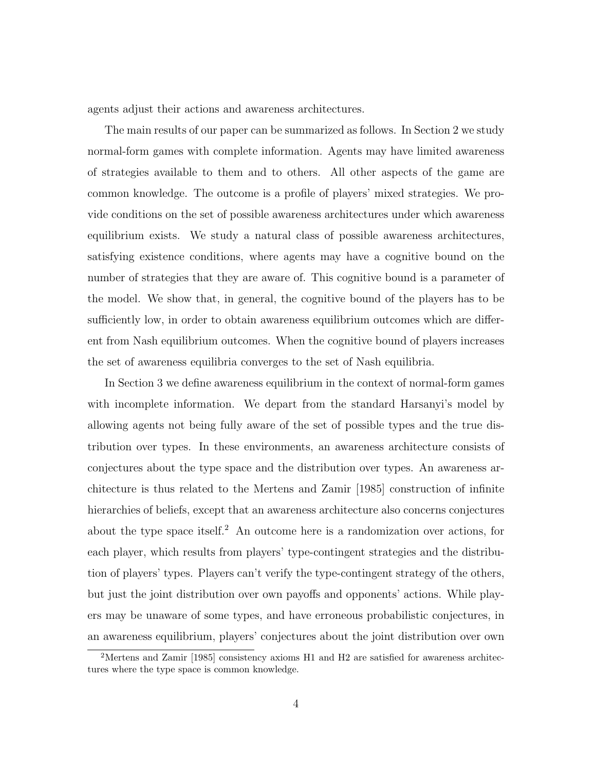agents adjust their actions and awareness architectures.

The main results of our paper can be summarized as follows. In Section 2 we study normal-form games with complete information. Agents may have limited awareness of strategies available to them and to others. All other aspects of the game are common knowledge. The outcome is a profile of players' mixed strategies. We provide conditions on the set of possible awareness architectures under which awareness equilibrium exists. We study a natural class of possible awareness architectures, satisfying existence conditions, where agents may have a cognitive bound on the number of strategies that they are aware of. This cognitive bound is a parameter of the model. We show that, in general, the cognitive bound of the players has to be sufficiently low, in order to obtain awareness equilibrium outcomes which are different from Nash equilibrium outcomes. When the cognitive bound of players increases the set of awareness equilibria converges to the set of Nash equilibria.

In Section 3 we define awareness equilibrium in the context of normal-form games with incomplete information. We depart from the standard Harsanyi's model by allowing agents not being fully aware of the set of possible types and the true distribution over types. In these environments, an awareness architecture consists of conjectures about the type space and the distribution over types. An awareness architecture is thus related to the Mertens and Zamir [1985] construction of infinite hierarchies of beliefs, except that an awareness architecture also concerns conjectures about the type space itself.<sup>2</sup> An outcome here is a randomization over actions, for each player, which results from players' type-contingent strategies and the distribution of players' types. Players can't verify the type-contingent strategy of the others, but just the joint distribution over own payoffs and opponents' actions. While players may be unaware of some types, and have erroneous probabilistic conjectures, in an awareness equilibrium, players' conjectures about the joint distribution over own

<sup>2</sup>Mertens and Zamir [1985] consistency axioms H1 and H2 are satisfied for awareness architectures where the type space is common knowledge.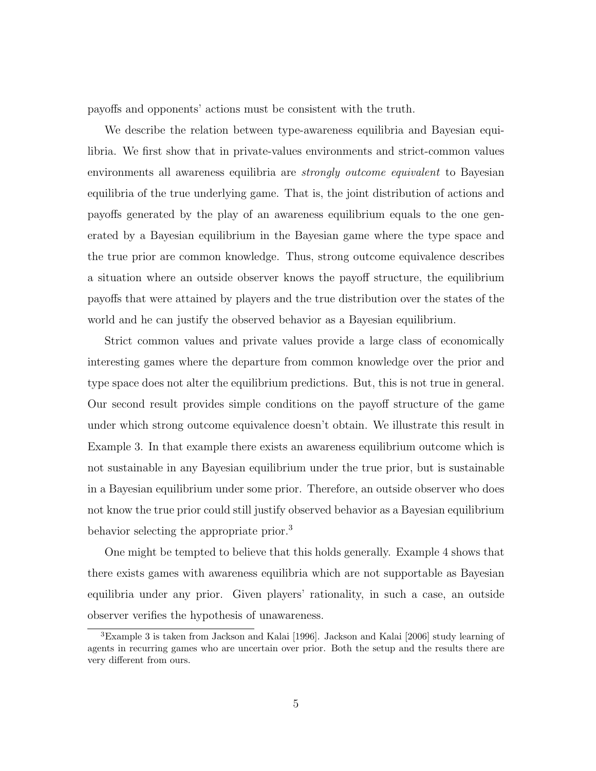payoffs and opponents' actions must be consistent with the truth.

We describe the relation between type-awareness equilibria and Bayesian equilibria. We first show that in private-values environments and strict-common values environments all awareness equilibria are *strongly outcome equivalent* to Bayesian equilibria of the true underlying game. That is, the joint distribution of actions and payoffs generated by the play of an awareness equilibrium equals to the one generated by a Bayesian equilibrium in the Bayesian game where the type space and the true prior are common knowledge. Thus, strong outcome equivalence describes a situation where an outside observer knows the payoff structure, the equilibrium payoffs that were attained by players and the true distribution over the states of the world and he can justify the observed behavior as a Bayesian equilibrium.

Strict common values and private values provide a large class of economically interesting games where the departure from common knowledge over the prior and type space does not alter the equilibrium predictions. But, this is not true in general. Our second result provides simple conditions on the payoff structure of the game under which strong outcome equivalence doesn't obtain. We illustrate this result in Example 3. In that example there exists an awareness equilibrium outcome which is not sustainable in any Bayesian equilibrium under the true prior, but is sustainable in a Bayesian equilibrium under some prior. Therefore, an outside observer who does not know the true prior could still justify observed behavior as a Bayesian equilibrium behavior selecting the appropriate prior.<sup>3</sup>

One might be tempted to believe that this holds generally. Example 4 shows that there exists games with awareness equilibria which are not supportable as Bayesian equilibria under any prior. Given players' rationality, in such a case, an outside observer verifies the hypothesis of unawareness.

<sup>3</sup>Example 3 is taken from Jackson and Kalai [1996]. Jackson and Kalai [2006] study learning of agents in recurring games who are uncertain over prior. Both the setup and the results there are very different from ours.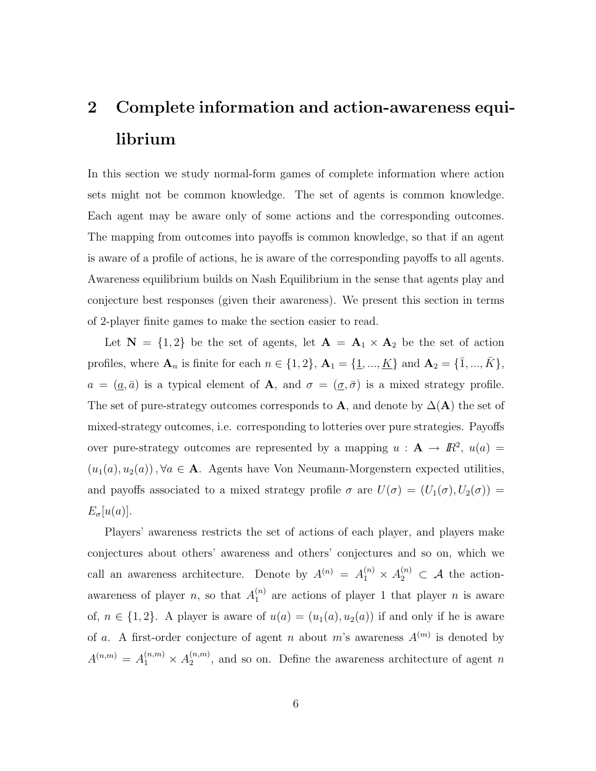## 2 Complete information and action-awareness equilibrium

In this section we study normal-form games of complete information where action sets might not be common knowledge. The set of agents is common knowledge. Each agent may be aware only of some actions and the corresponding outcomes. The mapping from outcomes into payoffs is common knowledge, so that if an agent is aware of a profile of actions, he is aware of the corresponding payoffs to all agents. Awareness equilibrium builds on Nash Equilibrium in the sense that agents play and conjecture best responses (given their awareness). We present this section in terms of 2-player finite games to make the section easier to read.

Let  $N = \{1, 2\}$  be the set of agents, let  $A = A_1 \times A_2$  be the set of action profiles, where  $A_n$  is finite for each  $n \in \{1, 2\}$ ,  $A_1 = \{\underline{1}, ..., \underline{K}\}$  and  $A_2 = \{\overline{1}, ..., \overline{K}\}$ ,  $a = (\underline{a}, \overline{a})$  is a typical element of **A**, and  $\sigma = (\underline{\sigma}, \overline{\sigma})$  is a mixed strategy profile. The set of pure-strategy outcomes corresponds to A, and denote by  $\Delta(A)$  the set of mixed-strategy outcomes, i.e. corresponding to lotteries over pure strategies. Payoffs over pure-strategy outcomes are represented by a mapping  $u : A \to \mathbb{R}^2$ ,  $u(a) =$  $(u_1(a), u_2(a))$ ,  $\forall a \in \mathbf{A}$ . Agents have Von Neumann-Morgenstern expected utilities, and payoffs associated to a mixed strategy profile  $\sigma$  are  $U(\sigma) = (U_1(\sigma), U_2(\sigma))$  $E_{\sigma}[u(a)].$ 

Players' awareness restricts the set of actions of each player, and players make conjectures about others' awareness and others' conjectures and so on, which we call an awareness architecture. Denote by  $A^{(n)} = A_1^{(n)} \times A_2^{(n)} \subset A$  the actionawareness of player n, so that  $A_1^{(n)}$  $n_1^{(n)}$  are actions of player 1 that player *n* is aware of,  $n \in \{1,2\}$ . A player is aware of  $u(a) = (u_1(a), u_2(a))$  if and only if he is aware of a. A first-order conjecture of agent n about m's awareness  $A^{(m)}$  is denoted by  $A^{(n,m)} = A_1^{(n,m)} \times A_2^{(n,m)}$  $\binom{n,m}{2}$ , and so on. Define the awareness architecture of agent n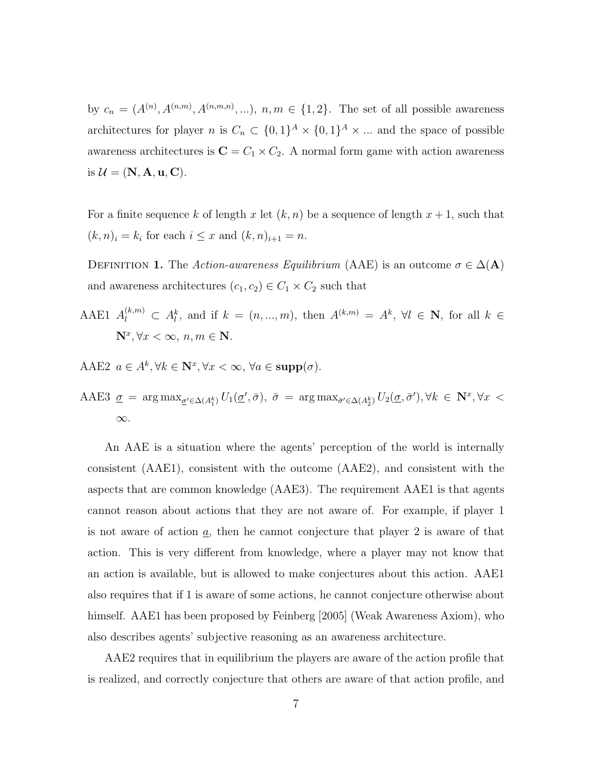by  $c_n = (A^{(n)}, A^{(n,m)}, A^{(n,m,n)}, \ldots), n, m \in \{1,2\}$ . The set of all possible awareness architectures for player n is  $C_n \subset \{0,1\}^A \times \{0,1\}^A \times \dots$  and the space of possible awareness architectures is  $C = C_1 \times C_2$ . A normal form game with action awareness is  $\mathcal{U} = (\mathbf{N}, \mathbf{A}, \mathbf{u}, \mathbf{C}).$ 

For a finite sequence k of length x let  $(k, n)$  be a sequence of length  $x + 1$ , such that  $(k, n)_i = k_i$  for each  $i \leq x$  and  $(k, n)_{i+1} = n$ .

DEFINITION 1. The Action-awareness Equilibrium (AAE) is an outcome  $\sigma \in \Delta(A)$ and awareness architectures  $(c_1, c_2) \in C_1 \times C_2$  such that

- AAE1  $A_l^{(k,m)} \subset A_l^k$ , and if  $k = (n, ..., m)$ , then  $A^{(k,m)} = A^k$ ,  $\forall l \in \mathbb{N}$ , for all  $k \in \mathbb{N}$  $\mathbf{N}^x, \forall x < \infty, n, m \in \mathbf{N}.$
- AAE2  $a \in A^k, \forall k \in \mathbb{N}^x, \forall x < \infty, \forall a \in \text{supp}(\sigma)$ .

AAE3 
$$
\underline{\sigma}
$$
 = arg max <sub>$\underline{\sigma}' \in \Delta(A_1^k)$</sub>   $U_1(\underline{\sigma}', \bar{\sigma})$ ,  $\bar{\sigma}$  = arg max <sub>$\bar{\sigma}' \in \Delta(A_2^k)$</sub>   $U_2(\underline{\sigma}, \bar{\sigma}')$ ,  $\forall k \in \mathbb{N}^x$ ,  $\forall x < \infty$ .

An AAE is a situation where the agents' perception of the world is internally consistent (AAE1), consistent with the outcome (AAE2), and consistent with the aspects that are common knowledge (AAE3). The requirement AAE1 is that agents cannot reason about actions that they are not aware of. For example, if player 1 is not aware of action  $a$ , then he cannot conjecture that player 2 is aware of that action. This is very different from knowledge, where a player may not know that an action is available, but is allowed to make conjectures about this action. AAE1 also requires that if 1 is aware of some actions, he cannot conjecture otherwise about himself. AAE1 has been proposed by Feinberg [2005] (Weak Awareness Axiom), who also describes agents' subjective reasoning as an awareness architecture.

AAE2 requires that in equilibrium the players are aware of the action profile that is realized, and correctly conjecture that others are aware of that action profile, and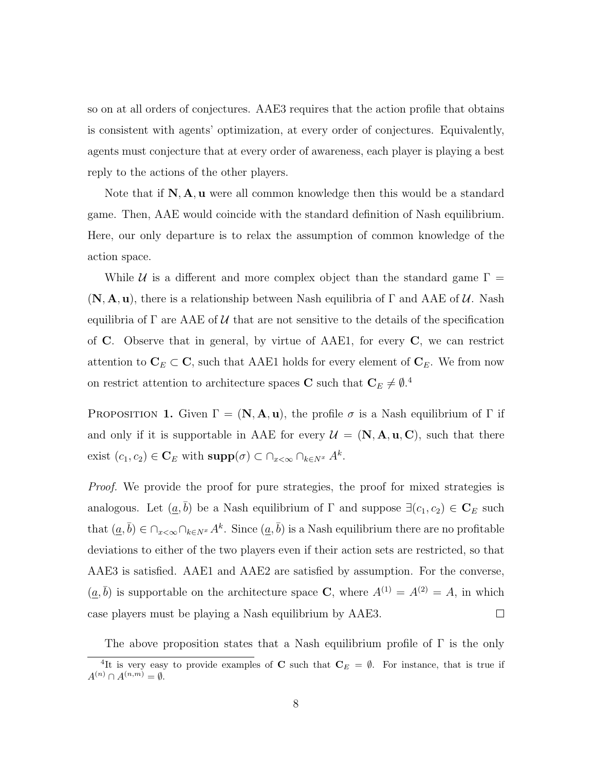so on at all orders of conjectures. AAE3 requires that the action profile that obtains is consistent with agents' optimization, at every order of conjectures. Equivalently, agents must conjecture that at every order of awareness, each player is playing a best reply to the actions of the other players.

Note that if  $N, A, u$  were all common knowledge then this would be a standard game. Then, AAE would coincide with the standard definition of Nash equilibrium. Here, our only departure is to relax the assumption of common knowledge of the action space.

While U is a different and more complex object than the standard game  $\Gamma =$  $(N, A, u)$ , there is a relationship between Nash equilibria of  $\Gamma$  and AAE of U. Nash equilibria of  $\Gamma$  are AAE of U that are not sensitive to the details of the specification of C. Observe that in general, by virtue of AAE1, for every C, we can restrict attention to  $\mathbf{C}_E \subset \mathbf{C}$ , such that AAE1 holds for every element of  $\mathbf{C}_E$ . We from now on restrict attention to architecture spaces **C** such that  $C_E \neq \emptyset$ <sup>4</sup>

PROPOSITION 1. Given  $\Gamma = (\mathbf{N}, \mathbf{A}, \mathbf{u})$ , the profile  $\sigma$  is a Nash equilibrium of  $\Gamma$  if and only if it is supportable in AAE for every  $\mathcal{U} = (\mathbf{N}, \mathbf{A}, \mathbf{u}, \mathbf{C})$ , such that there exist  $(c_1, c_2) \in \mathbf{C}_E$  with  $\text{supp}(\sigma) \subset \bigcap_{x < \infty} \bigcap_{k \in N^x} A^k$ .

Proof. We provide the proof for pure strategies, the proof for mixed strategies is analogous. Let  $(\underline{a}, \overline{b})$  be a Nash equilibrium of  $\Gamma$  and suppose  $\exists (c_1, c_2) \in \mathbf{C}_E$  such that  $(a, \bar{b}) \in \bigcap_{x < \infty} \bigcap_{k \in N^x} A^k$ . Since  $(a, \bar{b})$  is a Nash equilibrium there are no profitable deviations to either of the two players even if their action sets are restricted, so that AAE3 is satisfied. AAE1 and AAE2 are satisfied by assumption. For the converse,  $(\underline{a}, \overline{b})$  is supportable on the architecture space **C**, where  $A^{(1)} = A^{(2)} = A$ , in which case players must be playing a Nash equilibrium by AAE3.  $\Box$ 

The above proposition states that a Nash equilibrium profile of  $\Gamma$  is the only

<sup>&</sup>lt;sup>4</sup>It is very easy to provide examples of **C** such that  $C_E = \emptyset$ . For instance, that is true if  $A^{(n)} \cap A^{(n,m)} = \emptyset.$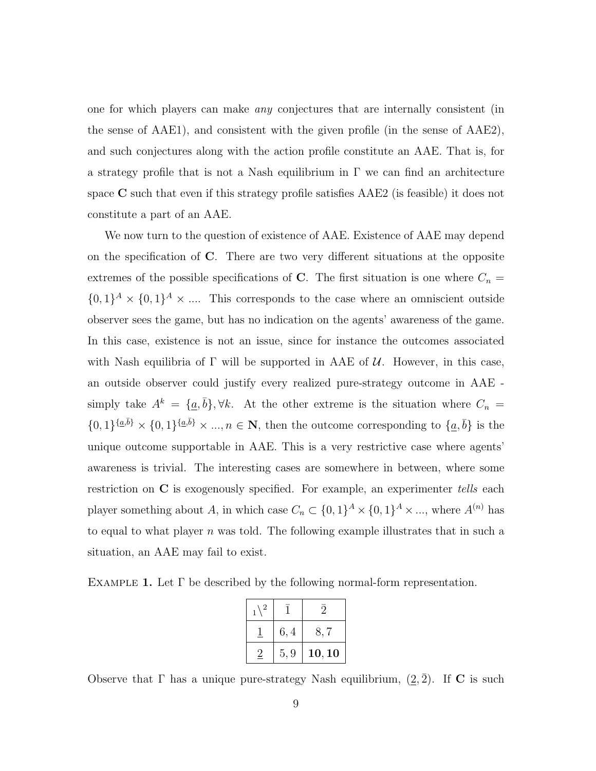one for which players can make any conjectures that are internally consistent (in the sense of AAE1), and consistent with the given profile (in the sense of AAE2), and such conjectures along with the action profile constitute an AAE. That is, for a strategy profile that is not a Nash equilibrium in  $\Gamma$  we can find an architecture space  $C$  such that even if this strategy profile satisfies  $AAE2$  (is feasible) it does not constitute a part of an AAE.

We now turn to the question of existence of AAE. Existence of AAE may depend on the specification of C. There are two very different situations at the opposite extremes of the possible specifications of C. The first situation is one where  $C_n =$  $\{0,1\}^A \times \{0,1\}^A \times \dots$  This corresponds to the case where an omniscient outside observer sees the game, but has no indication on the agents' awareness of the game. In this case, existence is not an issue, since for instance the outcomes associated with Nash equilibria of  $\Gamma$  will be supported in AAE of U. However, in this case, an outside observer could justify every realized pure-strategy outcome in AAE simply take  $A^k = \{\underline{a}, \overline{b}\}, \forall k$ . At the other extreme is the situation where  $C_n =$  $\{0,1\}^{\{a,\bar{b}\}} \times \{0,1\}^{\{a,\bar{b}\}} \times \ldots, n \in \mathbb{N}$ , then the outcome corresponding to  $\{a,\bar{b}\}\$ is the unique outcome supportable in AAE. This is a very restrictive case where agents' awareness is trivial. The interesting cases are somewhere in between, where some restriction on C is exogenously specified. For example, an experimenter tells each player something about A, in which case  $C_n \subset \{0,1\}^A \times \{0,1\}^A \times \dots$ , where  $A^{(n)}$  has to equal to what player n was told. The following example illustrates that in such a situation, an AAE may fail to exist.

EXAMPLE 1. Let  $\Gamma$  be described by the following normal-form representation.

| $\overline{2}$ |      |        |
|----------------|------|--------|
|                | 6,4  | 8,7    |
|                | 5, 9 | 10, 10 |

Observe that  $\Gamma$  has a unique pure-strategy Nash equilibrium,  $(2,\overline{2})$ . If **C** is such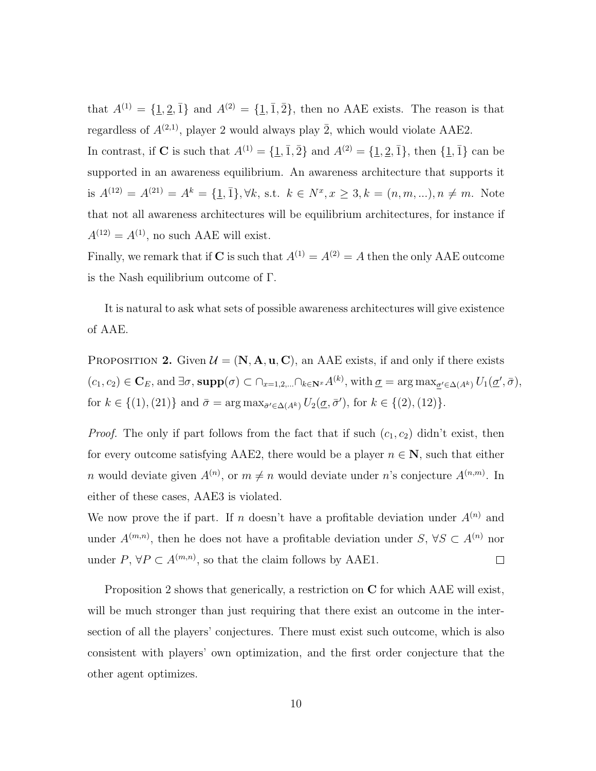that  $A^{(1)} = {\underline{1, 2, 1}}$  and  $A^{(2)} = {\underline{1, 1, 2}}$ , then no AAE exists. The reason is that regardless of  $A^{(2,1)}$ , player 2 would always play  $\overline{2}$ , which would violate AAE2.

In contrast, if C is such that  $A^{(1)} = {\{\underline{1}, \overline{1}, \overline{2}\}}$  and  $A^{(2)} = {\{\underline{1}, \underline{2}, \overline{1}\}}$ , then  ${\{\underline{1}, \overline{1}\}}$  can be supported in an awareness equilibrium. An awareness architecture that supports it is  $A^{(12)} = A^{(21)} = A^k = \{\underline{1}, \overline{1}\}, \forall k, \text{ s.t. } k \in N^x, x \geq 3, k = (n, m, \ldots), n \neq m. \text{ Note}$ that not all awareness architectures will be equilibrium architectures, for instance if  $A^{(12)} = A^{(1)}$ , no such AAE will exist.

Finally, we remark that if C is such that  $A^{(1)} = A^{(2)} = A$  then the only AAE outcome is the Nash equilibrium outcome of Γ.

It is natural to ask what sets of possible awareness architectures will give existence of AAE.

PROPOSITION 2. Given  $\mathcal{U} = (\mathbf{N}, \mathbf{A}, \mathbf{u}, \mathbf{C})$ , an AAE exists, if and only if there exists  $(c_1, c_2) \in \mathbf{C}_E$ , and  $\exists \sigma$ , supp $(\sigma) \subset \bigcap_{x=1,2,\dots} \bigcap_{k \in \mathbf{N}^x} A^{(k)}$ , with  $\underline{\sigma} = \arg \max_{\underline{\sigma}' \in \Delta(A^k)} U_1(\underline{\sigma}', \overline{\sigma})$ , for  $k \in \{(1), (21)\}\$  and  $\bar{\sigma} = \arg \max_{\bar{\sigma}' \in \Delta(A^k)} U_2(\sigma, \bar{\sigma}')$ , for  $k \in \{(2), (12)\}\$ .

*Proof.* The only if part follows from the fact that if such  $(c_1, c_2)$  didn't exist, then for every outcome satisfying AAE2, there would be a player  $n \in \mathbb{N}$ , such that either *n* would deviate given  $A^{(n)}$ , or  $m \neq n$  would deviate under *n*'s conjecture  $A^{(n,m)}$ . In either of these cases, AAE3 is violated.

We now prove the if part. If n doesn't have a profitable deviation under  $A^{(n)}$  and under  $A^{(m,n)}$ , then he does not have a profitable deviation under  $S, \forall S \subset A^{(n)}$  nor under  $P, \forall P \subset A^{(m,n)}$ , so that the claim follows by AAE1.  $\Box$ 

Proposition 2 shows that generically, a restriction on C for which AAE will exist, will be much stronger than just requiring that there exist an outcome in the intersection of all the players' conjectures. There must exist such outcome, which is also consistent with players' own optimization, and the first order conjecture that the other agent optimizes.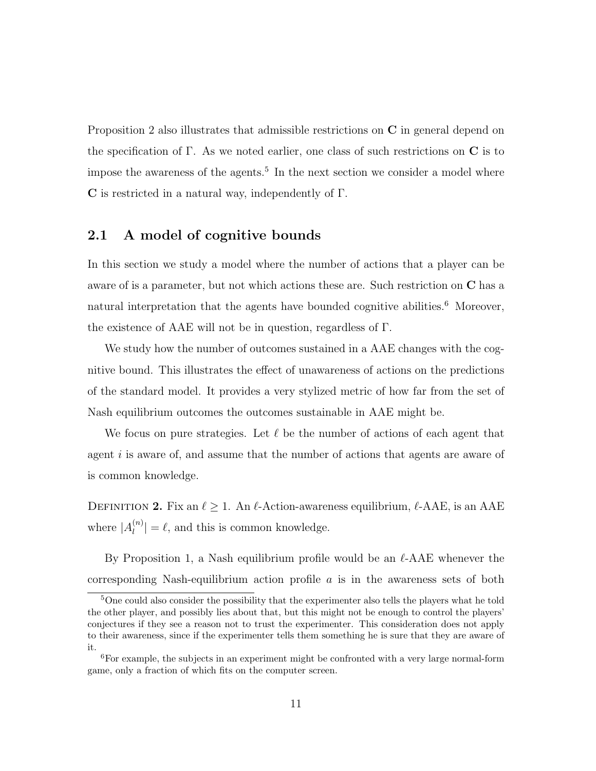Proposition 2 also illustrates that admissible restrictions on  $C$  in general depend on the specification of  $\Gamma$ . As we noted earlier, one class of such restrictions on  $\mathbb C$  is to impose the awareness of the agents.<sup>5</sup> In the next section we consider a model where C is restricted in a natural way, independently of Γ.

#### 2.1 A model of cognitive bounds

In this section we study a model where the number of actions that a player can be aware of is a parameter, but not which actions these are. Such restriction on C has a natural interpretation that the agents have bounded cognitive abilities.<sup>6</sup> Moreover, the existence of AAE will not be in question, regardless of Γ.

We study how the number of outcomes sustained in a AAE changes with the cognitive bound. This illustrates the effect of unawareness of actions on the predictions of the standard model. It provides a very stylized metric of how far from the set of Nash equilibrium outcomes the outcomes sustainable in AAE might be.

We focus on pure strategies. Let  $\ell$  be the number of actions of each agent that agent  $i$  is aware of, and assume that the number of actions that agents are aware of is common knowledge.

DEFINITION 2. Fix an  $\ell \geq 1$ . An  $\ell$ -Action-awareness equilibrium,  $\ell$ -AAE, is an AAE where  $|A_l^{(n)}|$  $\binom{n}{l} = \ell$ , and this is common knowledge.

By Proposition 1, a Nash equilibrium profile would be an  $\ell$ -AAE whenever the corresponding Nash-equilibrium action profile  $a$  is in the awareness sets of both

<sup>&</sup>lt;sup>5</sup>One could also consider the possibility that the experimenter also tells the players what he told the other player, and possibly lies about that, but this might not be enough to control the players' conjectures if they see a reason not to trust the experimenter. This consideration does not apply to their awareness, since if the experimenter tells them something he is sure that they are aware of it.

<sup>6</sup>For example, the subjects in an experiment might be confronted with a very large normal-form game, only a fraction of which fits on the computer screen.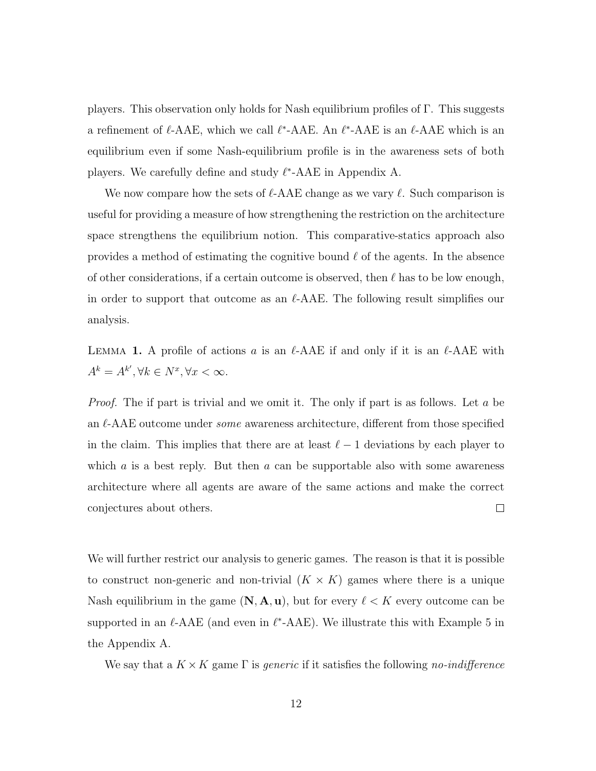players. This observation only holds for Nash equilibrium profiles of Γ. This suggests a refinement of  $\ell$ -AAE, which we call  $\ell^*$ -AAE. An  $\ell^*$ -AAE is an  $\ell$ -AAE which is an equilibrium even if some Nash-equilibrium profile is in the awareness sets of both players. We carefully define and study  $\ell^*$ -AAE in Appendix A.

We now compare how the sets of  $\ell$ -AAE change as we vary  $\ell$ . Such comparison is useful for providing a measure of how strengthening the restriction on the architecture space strengthens the equilibrium notion. This comparative-statics approach also provides a method of estimating the cognitive bound  $\ell$  of the agents. In the absence of other considerations, if a certain outcome is observed, then  $\ell$  has to be low enough, in order to support that outcome as an  $\ell$ -AAE. The following result simplifies our analysis.

LEMMA 1. A profile of actions a is an  $\ell$ -AAE if and only if it is an  $\ell$ -AAE with  $A^k = A^{k'}, \forall k \in N^x, \forall x < \infty.$ 

*Proof.* The if part is trivial and we omit it. The only if part is as follows. Let a be an  $\ell$ -AAE outcome under *some* awareness architecture, different from those specified in the claim. This implies that there are at least  $\ell - 1$  deviations by each player to which  $a$  is a best reply. But then  $a$  can be supportable also with some awareness architecture where all agents are aware of the same actions and make the correct conjectures about others.  $\Box$ 

We will further restrict our analysis to generic games. The reason is that it is possible to construct non-generic and non-trivial  $(K \times K)$  games where there is a unique Nash equilibrium in the game  $(N, A, u)$ , but for every  $\ell < K$  every outcome can be supported in an  $\ell$ -AAE (and even in  $\ell^*$ -AAE). We illustrate this with Example 5 in the Appendix A.

We say that a  $K \times K$  game  $\Gamma$  is *generic* if it satisfies the following no-indifference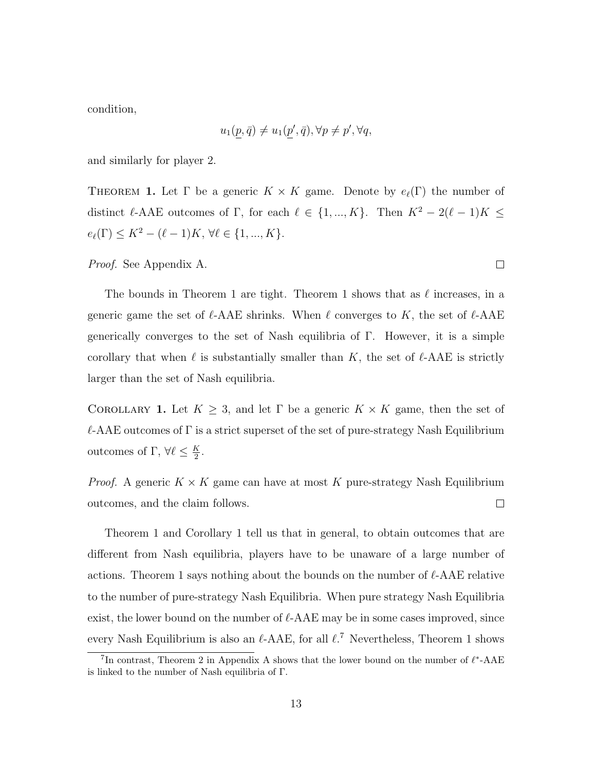condition,

$$
u_1(p, \bar{q}) \neq u_1(p', \bar{q}), \forall p \neq p', \forall q,
$$

and similarly for player 2.

THEOREM 1. Let  $\Gamma$  be a generic  $K \times K$  game. Denote by  $e_{\ell}(\Gamma)$  the number of distinct  $\ell$ -AAE outcomes of Γ, for each  $\ell \in \{1, ..., K\}$ . Then  $K^2 - 2(\ell - 1)K \leq$  $e_{\ell}(\Gamma) \leq K^2 - (\ell - 1)K, \, \forall \ell \in \{1, ..., K\}.$ 

Proof. See Appendix A.

The bounds in Theorem 1 are tight. Theorem 1 shows that as  $\ell$  increases, in a generic game the set of  $\ell$ -AAE shrinks. When  $\ell$  converges to K, the set of  $\ell$ -AAE generically converges to the set of Nash equilibria of Γ. However, it is a simple corollary that when  $\ell$  is substantially smaller than K, the set of  $\ell$ -AAE is strictly larger than the set of Nash equilibria.

COROLLARY 1. Let  $K \geq 3$ , and let  $\Gamma$  be a generic  $K \times K$  game, then the set of  $\ell$ -AAE outcomes of Γ is a strict superset of the set of pure-strategy Nash Equilibrium outcomes of Γ,  $\forall \ell \leq \frac{K}{2}$  $\frac{K}{2}$ .

*Proof.* A generic  $K \times K$  game can have at most K pure-strategy Nash Equilibrium outcomes, and the claim follows.  $\Box$ 

Theorem 1 and Corollary 1 tell us that in general, to obtain outcomes that are different from Nash equilibria, players have to be unaware of a large number of actions. Theorem 1 says nothing about the bounds on the number of  $\ell$ -AAE relative to the number of pure-strategy Nash Equilibria. When pure strategy Nash Equilibria exist, the lower bound on the number of  $\ell$ -AAE may be in some cases improved, since every Nash Equilibrium is also an  $\ell$ -AAE, for all  $\ell$ .<sup>7</sup> Nevertheless, Theorem 1 shows

 $\Box$ 

<sup>&</sup>lt;sup>7</sup>In contrast, Theorem 2 in Appendix A shows that the lower bound on the number of  $\ell^*$ -AAE is linked to the number of Nash equilibria of Γ.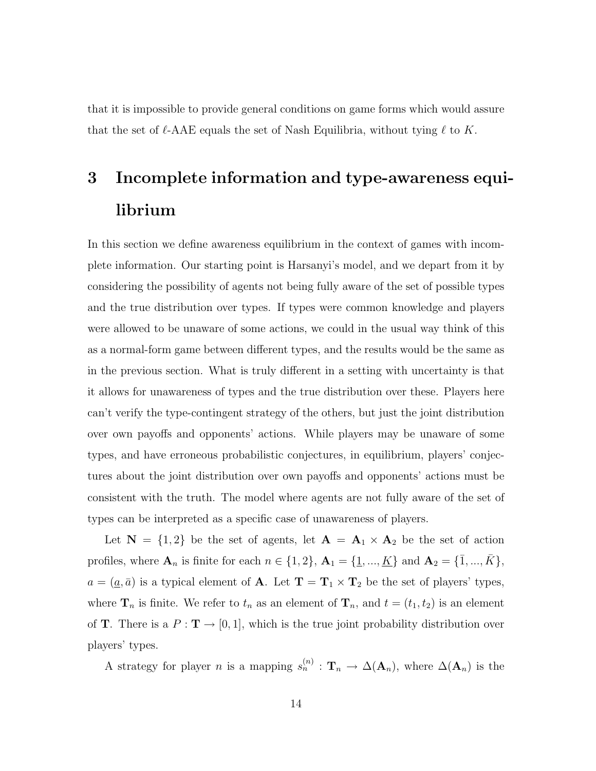that it is impossible to provide general conditions on game forms which would assure that the set of  $\ell$ -AAE equals the set of Nash Equilibria, without tying  $\ell$  to K.

## 3 Incomplete information and type-awareness equilibrium

In this section we define awareness equilibrium in the context of games with incomplete information. Our starting point is Harsanyi's model, and we depart from it by considering the possibility of agents not being fully aware of the set of possible types and the true distribution over types. If types were common knowledge and players were allowed to be unaware of some actions, we could in the usual way think of this as a normal-form game between different types, and the results would be the same as in the previous section. What is truly different in a setting with uncertainty is that it allows for unawareness of types and the true distribution over these. Players here can't verify the type-contingent strategy of the others, but just the joint distribution over own payoffs and opponents' actions. While players may be unaware of some types, and have erroneous probabilistic conjectures, in equilibrium, players' conjectures about the joint distribution over own payoffs and opponents' actions must be consistent with the truth. The model where agents are not fully aware of the set of types can be interpreted as a specific case of unawareness of players.

Let  $N = \{1, 2\}$  be the set of agents, let  $A = A_1 \times A_2$  be the set of action profiles, where  $A_n$  is finite for each  $n \in \{1, 2\}$ ,  $A_1 = \{\underline{1}, ..., \underline{K}\}$  and  $A_2 = \{\overline{1}, ..., \overline{K}\}$ ,  $a = (\underline{a}, \overline{a})$  is a typical element of **A**. Let  $T = T_1 \times T_2$  be the set of players' types, where  $\mathbf{T}_n$  is finite. We refer to  $t_n$  as an element of  $\mathbf{T}_n$ , and  $t = (t_1, t_2)$  is an element of **T**. There is a  $P : \mathbf{T} \to [0,1]$ , which is the true joint probability distribution over players' types.

A strategy for player n is a mapping  $s_n^{(n)} : \mathbf{T}_n \to \Delta(\mathbf{A}_n)$ , where  $\Delta(\mathbf{A}_n)$  is the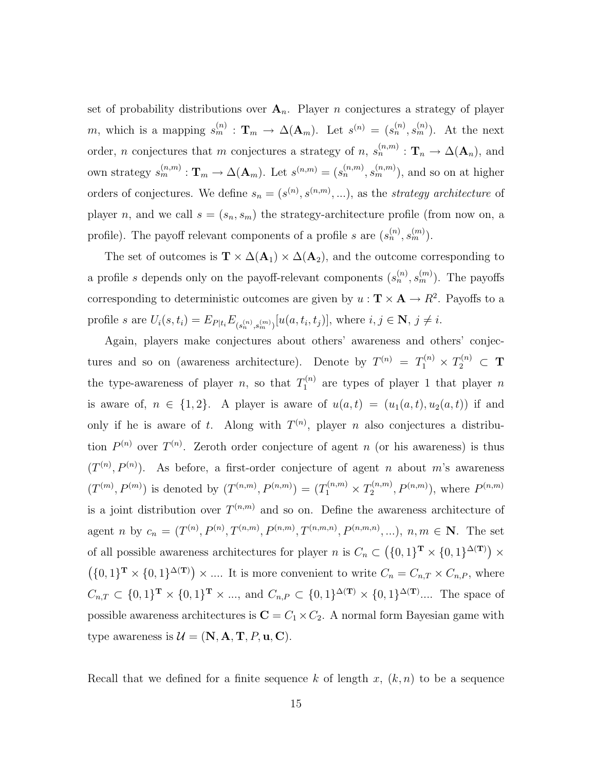set of probability distributions over  $A_n$ . Player n conjectures a strategy of player m, which is a mapping  $s_m^{(n)} : \mathbf{T}_m \to \Delta(\mathbf{A}_m)$ . Let  $s^{(n)} = (s_n^{(n)}, s_m^{(n)})$ . At the next order, *n* conjectures that *m* conjectures a strategy of *n*,  $s_n^{(n,m)} : \mathbf{T}_n \to \Delta(\mathbf{A}_n)$ , and own strategy  $s_m^{(n,m)}: \mathbf{T}_m \to \Delta(\mathbf{A}_m)$ . Let  $s^{(n,m)} = (s_n^{(n,m)}, s_m^{(n,m)})$ , and so on at higher orders of conjectures. We define  $s_n = (s^{(n)}, s^{(n,m)}, \ldots)$ , as the *strategy architecture* of player n, and we call  $s = (s_n, s_m)$  the strategy-architecture profile (from now on, a profile). The payoff relevant components of a profile s are  $(s_n^{(n)}, s_m^{(m)})$ .

The set of outcomes is  $\mathbf{T} \times \Delta(\mathbf{A}_1) \times \Delta(\mathbf{A}_2)$ , and the outcome corresponding to a profile s depends only on the payoff-relevant components  $(s_n^{(n)}, s_m^{(m)})$ . The payoffs corresponding to deterministic outcomes are given by  $u : \mathbf{T} \times \mathbf{A} \to R^2$ . Payoffs to a profile s are  $U_i(s, t_i) = E_{P|t_i} E_{(s_n^{(n)}, s_m^{(m)})}[u(a, t_i, t_j)],$  where  $i, j \in \mathbb{N}, j \neq i$ .

Again, players make conjectures about others' awareness and others' conjectures and so on (awareness architecture). Denote by  $T^{(n)} = T_1^{(n)} \times T_2^{(n)} \subset \mathbf{T}$ the type-awareness of player *n*, so that  $T_1^{(n)}$  $n_1^{(n)}$  are types of player 1 that player n is aware of,  $n \in \{1,2\}$ . A player is aware of  $u(a,t) = (u_1(a,t), u_2(a,t))$  if and only if he is aware of t. Along with  $T^{(n)}$ , player n also conjectures a distribution  $P^{(n)}$  over  $T^{(n)}$ . Zeroth order conjecture of agent n (or his awareness) is thus  $(T^{(n)}, P^{(n)})$ . As before, a first-order conjecture of agent *n* about *m*'s awareness  $(T^{(m)}, P^{(m)})$  is denoted by  $(T^{(n,m)}, P^{(n,m)}) = (T_1^{(n,m)} \times T_2^{(n,m)})$  $P^{(n,m)}(P^{(n,m)}),$  where  $P^{(n,m)}$ is a joint distribution over  $T^{(n,m)}$  and so on. Define the awareness architecture of agent *n* by  $c_n = (T^{(n)}, P^{(n)}, T^{(n,m)}, P^{(n,m,n)}, T^{(n,m,n)}, P^{(n,m,n)}, \ldots), n, m \in \mathbb{N}$ . The set of all possible awareness architectures for player n is  $C_n \subset (\{0,1\}^T \times \{0,1\}^{\Delta(T)}) \times$  $({0,1}^T \times {0,1}^{\Delta(T)}) \times ...$  It is more convenient to write  $C_n = C_{n,T} \times C_{n,P}$ , where  $C_{n,T} \subset \{0,1\}^{\mathbf{T}} \times \{0,1\}^{\mathbf{T}} \times \dots$ , and  $C_{n,P} \subset \{0,1\}^{\Delta(\mathbf{T})} \times \{0,1\}^{\Delta(\mathbf{T})} \dots$  The space of possible awareness architectures is  $C = C_1 \times C_2$ . A normal form Bayesian game with type awareness is  $\mathcal{U} = (\mathbf{N}, \mathbf{A}, \mathbf{T}, P, \mathbf{u}, \mathbf{C}).$ 

Recall that we defined for a finite sequence k of length x,  $(k, n)$  to be a sequence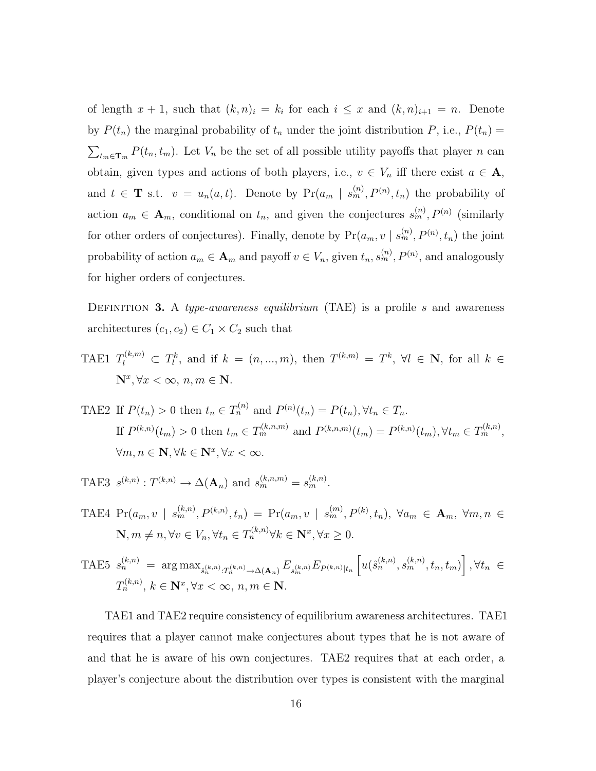of length  $x + 1$ , such that  $(k, n)_i = k_i$  for each  $i \leq x$  and  $(k, n)_{i+1} = n$ . Denote by  $P(t_n)$  the marginal probability of  $t_n$  under the joint distribution P, i.e.,  $P(t_n)$  =  $\sum_{t_m \in \mathbf{T}_m} P(t_n, t_m)$ . Let  $V_n$  be the set of all possible utility payoffs that player n can obtain, given types and actions of both players, i.e.,  $v \in V_n$  iff there exist  $a \in \mathbf{A}$ , and  $t \in \mathbf{T}$  s.t.  $v = u_n(a, t)$ . Denote by  $Pr(a_m | s_m^{(n)}, P^{(n)}, t_n)$  the probability of action  $a_m \in \mathbf{A}_m$ , conditional on  $t_n$ , and given the conjectures  $s_m^{(n)}, P^{(n)}$  (similarly for other orders of conjectures). Finally, denote by  $Pr(a_m, v \mid s_m^{(n)}, P^{(n)}, t_n)$  the joint probability of action  $a_m \in \mathbf{A}_m$  and payoff  $v \in V_n$ , given  $t_n, s_m^{(n)}, P^{(n)}$ , and analogously for higher orders of conjectures.

DEFINITION 3. A type-awareness equilibrium (TAE) is a profile s and awareness architectures  $(c_1, c_2) \in C_1 \times C_2$  such that

- TAE1  $T_l^{(k,m)} \subset T_l^k$ , and if  $k = (n, ..., m)$ , then  $T^{(k,m)} = T^k$ ,  $\forall l \in \mathbb{N}$ , for all  $k \in$  $\mathbf{N}^x, \forall x < \infty, n, m \in \mathbf{N}.$
- TAE2 If  $P(t_n) > 0$  then  $t_n \in T_n^{(n)}$  and  $P^{(n)}(t_n) = P(t_n), \forall t_n \in T_n$ . If  $P^{(k,n)}(t_m) > 0$  then  $t_m \in T_m^{(k,n,m)}$  and  $P^{(k,n,m)}(t_m) = P^{(k,n)}(t_m)$ ,  $\forall t_m \in T_m^{(k,n)}$ ,  $\forall m, n \in \mathbb{N}, \forall k \in \mathbb{N}^x, \forall x < \infty.$

TAE3  $s^{(k,n)}: T^{(k,n)} \to \Delta(\mathbf{A}_n)$  and  $s_m^{(k,n,m)} = s_m^{(k,n)}$ .

TAE4  $Pr(a_m, v \mid s_m^{(k,n)}, P^{(k,n)}, t_n) = Pr(a_m, v \mid s_m^{(m)}, P^{(k)}, t_n), \forall a_m \in \mathbf{A}_m, \forall m, n \in$  $\mathbf{N}, m \neq n, \forall v \in V_n, \forall t_n \in T_n^{(k,n)} \forall k \in \mathbf{N}^x, \forall x \geq 0.$ 

**THE5** 
$$
s_n^{(k,n)} = \arg \max_{\hat{s}_n^{(k,n)} : T_n^{(k,n)} \to \Delta(\mathbf{A}_n)} E_{s_m^{(k,n)}} E_{P^{(k,n)}|t_n} \left[ u(\hat{s}_n^{(k,n)}, s_m^{(k,n)}, t_n, t_m) \right], \forall t_n \in T_n^{(k,n)}, k \in \mathbb{N}^x, \forall x < \infty, n, m \in \mathbb{N}.
$$

TAE1 and TAE2 require consistency of equilibrium awareness architectures. TAE1 requires that a player cannot make conjectures about types that he is not aware of and that he is aware of his own conjectures. TAE2 requires that at each order, a player's conjecture about the distribution over types is consistent with the marginal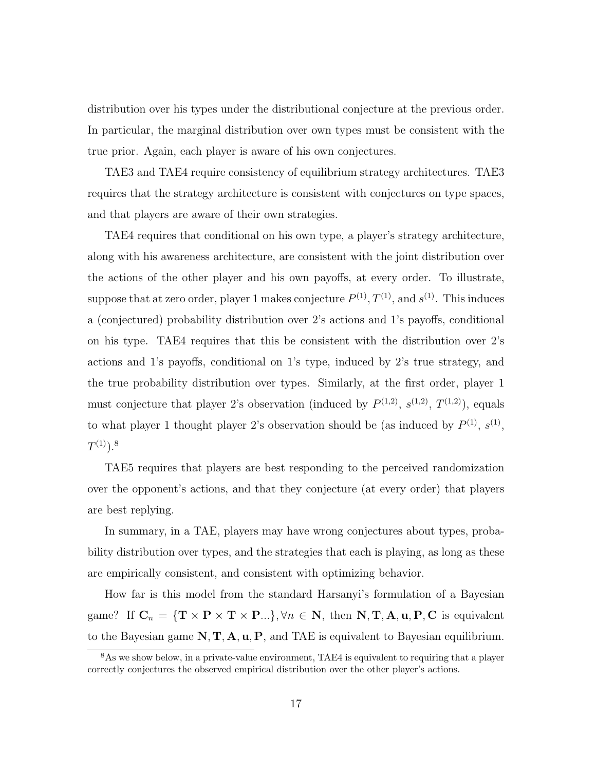distribution over his types under the distributional conjecture at the previous order. In particular, the marginal distribution over own types must be consistent with the true prior. Again, each player is aware of his own conjectures.

TAE3 and TAE4 require consistency of equilibrium strategy architectures. TAE3 requires that the strategy architecture is consistent with conjectures on type spaces, and that players are aware of their own strategies.

TAE4 requires that conditional on his own type, a player's strategy architecture, along with his awareness architecture, are consistent with the joint distribution over the actions of the other player and his own payoffs, at every order. To illustrate, suppose that at zero order, player 1 makes conjecture  $P^{(1)}$ ,  $T^{(1)}$ , and  $s^{(1)}$ . This induces a (conjectured) probability distribution over 2's actions and 1's payoffs, conditional on his type. TAE4 requires that this be consistent with the distribution over 2's actions and 1's payoffs, conditional on 1's type, induced by 2's true strategy, and the true probability distribution over types. Similarly, at the first order, player 1 must conjecture that player 2's observation (induced by  $P^{(1,2)}$ ,  $s^{(1,2)}$ ,  $T^{(1,2)}$ ), equals to what player 1 thought player 2's observation should be (as induced by  $P^{(1)}$ ,  $S^{(1)}$ ,  $T^{(1)}).^8$ 

TAE5 requires that players are best responding to the perceived randomization over the opponent's actions, and that they conjecture (at every order) that players are best replying.

In summary, in a TAE, players may have wrong conjectures about types, probability distribution over types, and the strategies that each is playing, as long as these are empirically consistent, and consistent with optimizing behavior.

How far is this model from the standard Harsanyi's formulation of a Bayesian game? If  $C_n = \{T \times P \times T \times P...\}$ ,  $\forall n \in \mathbb{N}$ , then  $\mathbb{N}, \mathbb{T}, \mathbb{A}, \mathbf{u}, P, C$  is equivalent to the Bayesian game  $N, T, A, u, P$ , and TAE is equivalent to Bayesian equilibrium.

<sup>&</sup>lt;sup>8</sup>As we show below, in a private-value environment, TAE4 is equivalent to requiring that a player correctly conjectures the observed empirical distribution over the other player's actions.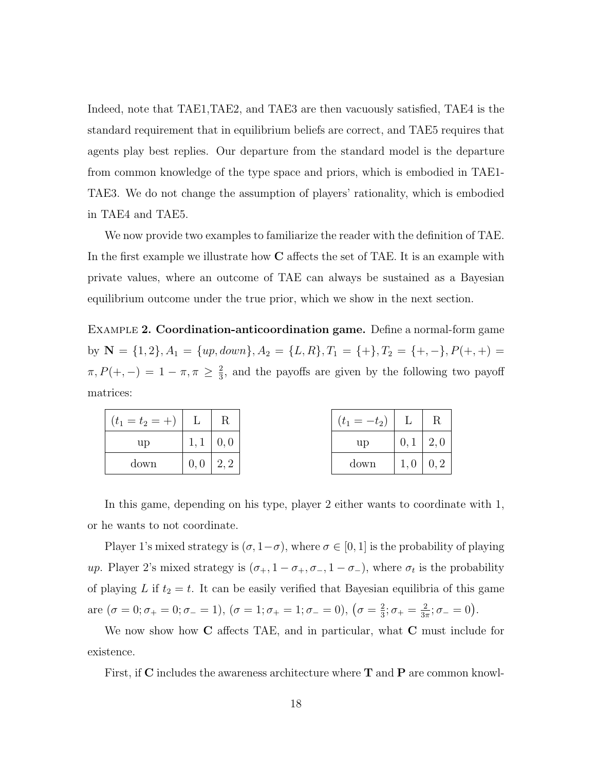Indeed, note that TAE1,TAE2, and TAE3 are then vacuously satisfied, TAE4 is the standard requirement that in equilibrium beliefs are correct, and TAE5 requires that agents play best replies. Our departure from the standard model is the departure from common knowledge of the type space and priors, which is embodied in TAE1- TAE3. We do not change the assumption of players' rationality, which is embodied in TAE4 and TAE5.

We now provide two examples to familiarize the reader with the definition of TAE. In the first example we illustrate how  $C$  affects the set of TAE. It is an example with private values, where an outcome of TAE can always be sustained as a Bayesian equilibrium outcome under the true prior, which we show in the next section.

Example 2. Coordination-anticoordination game. Define a normal-form game by  $\mathbf{N} = \{1, 2\}, A_1 = \{up, down\}, A_2 = \{L, R\}, T_1 = \{+\}, T_2 = \{+, -\}, P(+, +) =$  $\pi, P(+,-) = 1 - \pi, \pi \geq \frac{2}{3}$  $\frac{2}{3}$ , and the payoffs are given by the following two payoff matrices:

| $(t_1 = t_2 = +)$   L   R |                  |                    | $(t_1 = -t_2)$ | L                |  |
|---------------------------|------------------|--------------------|----------------|------------------|--|
| up                        | $1, 1 \mid 0, 0$ |                    | up             | $0, 1 \mid 2, 0$ |  |
| down                      | 0,0              | $\mid 2,2 \rangle$ | down           | $1,0 \mid 0,2$   |  |

In this game, depending on his type, player 2 either wants to coordinate with 1, or he wants to not coordinate.

Player 1's mixed strategy is  $(\sigma, 1-\sigma)$ , where  $\sigma \in [0, 1]$  is the probability of playing up. Player 2's mixed strategy is  $(\sigma_+, 1-\sigma_+, \sigma_-, 1-\sigma_-)$ , where  $\sigma_t$  is the probability of playing L if  $t_2 = t$ . It can be easily verified that Bayesian equilibria of this game are  $(\sigma = 0; \sigma_{+} = 0; \sigma_{-} = 1), (\sigma = 1; \sigma_{+} = 1; \sigma_{-} = 0), (\sigma = \frac{2}{3})$  $\frac{2}{3}$ ;  $\sigma_{+} = \frac{2}{3\pi}$  $\frac{2}{3\pi}$ ;  $\sigma_- = 0$ ).

We now show how C affects TAE, and in particular, what C must include for existence.

First, if C includes the awareness architecture where  $T$  and  $P$  are common knowl-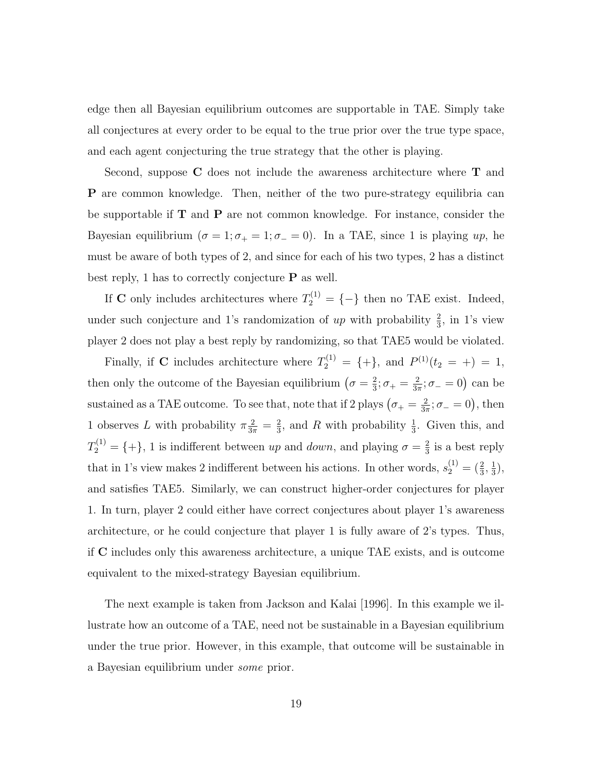edge then all Bayesian equilibrium outcomes are supportable in TAE. Simply take all conjectures at every order to be equal to the true prior over the true type space, and each agent conjecturing the true strategy that the other is playing.

Second, suppose C does not include the awareness architecture where T and P are common knowledge. Then, neither of the two pure-strategy equilibria can be supportable if  $T$  and  $P$  are not common knowledge. For instance, consider the Bayesian equilibrium ( $\sigma = 1; \sigma_+ = 1; \sigma_- = 0$ ). In a TAE, since 1 is playing up, he must be aware of both types of 2, and since for each of his two types, 2 has a distinct best reply, 1 has to correctly conjecture  $P$  as well.

If **C** only includes architectures where  $T_2^{(1)} = \{-\}$  then no TAE exist. Indeed, under such conjecture and 1's randomization of  $up$  with probability  $\frac{2}{3}$ , in 1's view player 2 does not play a best reply by randomizing, so that TAE5 would be violated.

Finally, if C includes architecture where  $T_2^{(1)} = \{+\}$ , and  $P^{(1)}(t_2 = +) = 1$ , then only the outcome of the Bayesian equilibrium  $(\sigma = \frac{2}{3})$  $\frac{2}{3}$ ;  $\sigma_+ = \frac{2}{3\pi}$  $\frac{2}{3\pi}$ ;  $\sigma_- = 0$ ) can be sustained as a TAE outcome. To see that, note that if 2 plays  $(\sigma_+ = \frac{2}{3\sigma})$  $\frac{2}{3\pi}$ ;  $\sigma_- = 0$ ), then 1 observes L with probability  $\pi \frac{2}{3\pi} = \frac{2}{3}$  $\frac{2}{3}$ , and R with probability  $\frac{1}{3}$ . Given this, and  $T_2^{(1)} = \{ + \}, 1$  is indifferent between up and *down*, and playing  $\sigma = \frac{2}{3}$  $\frac{2}{3}$  is a best reply that in 1's view makes 2 indifferent between his actions. In other words,  $s_2^{(1)} = (\frac{2}{3}, \frac{1}{3})$  $\frac{1}{3}$ ), and satisfies TAE5. Similarly, we can construct higher-order conjectures for player 1. In turn, player 2 could either have correct conjectures about player 1's awareness architecture, or he could conjecture that player 1 is fully aware of 2's types. Thus, if C includes only this awareness architecture, a unique TAE exists, and is outcome equivalent to the mixed-strategy Bayesian equilibrium.

The next example is taken from Jackson and Kalai [1996]. In this example we illustrate how an outcome of a TAE, need not be sustainable in a Bayesian equilibrium under the true prior. However, in this example, that outcome will be sustainable in a Bayesian equilibrium under some prior.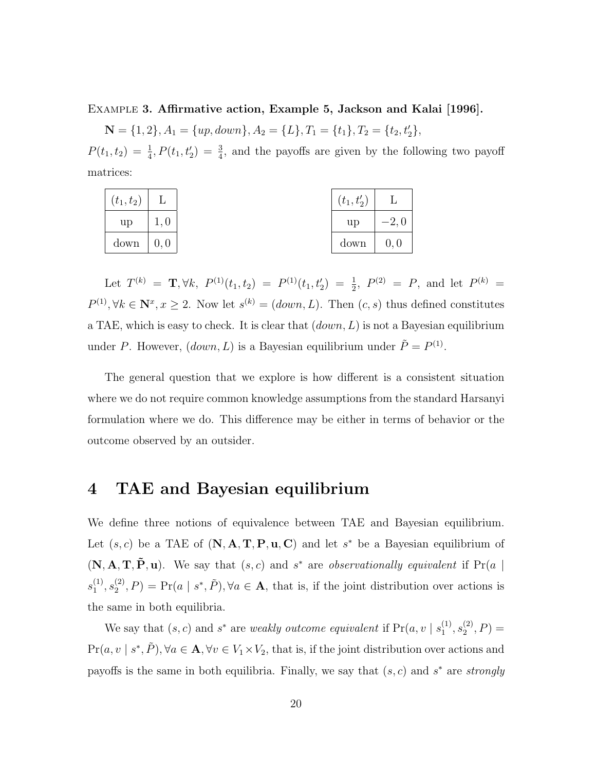Example 3. Affirmative action, Example 5, Jackson and Kalai [1996].

 $\mathbf{N} = \{1, 2\}, A_1 = \{up, down\}, A_2 = \{L\}, T_1 = \{t_1\}, T_2 = \{t_2, t_2'\},$ 

 $P(t_1, t_2) = \frac{1}{4}$ ,  $P(t_1, t_2') = \frac{3}{4}$ , and the payoffs are given by the following two payoff matrices:

| $(t_{1},t_{2})$ |      | $(t_1, t'_2)$ |         |
|-----------------|------|---------------|---------|
| up              |      | up            | $-2, 6$ |
| down            | 0, 0 | down          | 0, 0    |

Let  $T^{(k)} = \mathbf{T}, \forall k, P^{(1)}(t_1, t_2) = P^{(1)}(t_1, t_2) = \frac{1}{2}, P^{(2)} = P$ , and let  $P^{(k)} =$  $P^{(1)}, \forall k \in \mathbb{N}^x, x \geq 2$ . Now let  $s^{(k)} = (down, L)$ . Then  $(c, s)$  thus defined constitutes a TAE, which is easy to check. It is clear that  $(down, L)$  is not a Bayesian equilibrium under P. However,  $(down, L)$  is a Bayesian equilibrium under  $\tilde{P} = P^{(1)}$ .

The general question that we explore is how different is a consistent situation where we do not require common knowledge assumptions from the standard Harsanyi formulation where we do. This difference may be either in terms of behavior or the outcome observed by an outsider.

### 4 TAE and Bayesian equilibrium

We define three notions of equivalence between TAE and Bayesian equilibrium. Let  $(s, c)$  be a TAE of  $(N, A, T, P, u, C)$  and let s<sup>\*</sup> be a Bayesian equilibrium of  $(N, A, T, \tilde{P}, u)$ . We say that  $(s, c)$  and  $s^*$  are *observationally equivalent* if  $Pr(a | s)$  $s_1^{(1)}$  $\binom{11}{1},s_2^{(2)}$  $P_2^{(2)}, P$  = Pr(a | s<sup>\*</sup>,  $\tilde{P}$ ),  $\forall a \in \mathbf{A}$ , that is, if the joint distribution over actions is the same in both equilibria.

We say that  $(s, c)$  and  $s^*$  are *weakly outcome equivalent* if  $Pr(a, v \mid s_1^{(1)})$  $\binom{11}{1},s_2^{(2)}$  $\binom{(2)}{2}, P$  =  $Pr(a, v \mid s^*, \tilde{P}), \forall a \in \mathbf{A}, \forall v \in V_1 \times V_2$ , that is, if the joint distribution over actions and payoffs is the same in both equilibria. Finally, we say that  $(s, c)$  and  $s^*$  are strongly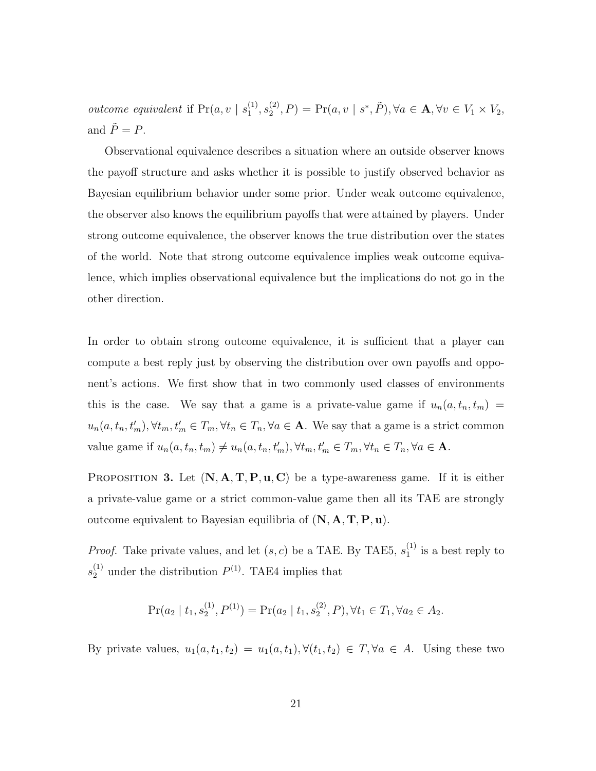*outcome equivalent* if  $Pr(a, v \mid s_1^{(1)})$  $\binom{11}{1},s_2^{(2)}$  $\mathcal{L}_2^{(2)}, P$  = Pr(a, v | s<sup>\*</sup>,  $\tilde{P}$ ),  $\forall a \in \mathbf{A}, \forall v \in V_1 \times V_2$ , and  $\tilde{P} = P$ .

Observational equivalence describes a situation where an outside observer knows the payoff structure and asks whether it is possible to justify observed behavior as Bayesian equilibrium behavior under some prior. Under weak outcome equivalence, the observer also knows the equilibrium payoffs that were attained by players. Under strong outcome equivalence, the observer knows the true distribution over the states of the world. Note that strong outcome equivalence implies weak outcome equivalence, which implies observational equivalence but the implications do not go in the other direction.

In order to obtain strong outcome equivalence, it is sufficient that a player can compute a best reply just by observing the distribution over own payoffs and opponent's actions. We first show that in two commonly used classes of environments this is the case. We say that a game is a private-value game if  $u_n(a, t_n, t_m)$  =  $u_n(a, t_n, t'_m), \forall t_m, t'_m \in T_m, \forall t_n \in T_n, \forall a \in \mathbf{A}$ . We say that a game is a strict common value game if  $u_n(a, t_n, t_m) \neq u_n(a, t_n, t'_m), \forall t_m, t'_m \in T_m, \forall t_n \in T_n, \forall a \in \mathbf{A}$ .

PROPOSITION 3. Let  $(N, A, T, P, u, C)$  be a type-awareness game. If it is either a private-value game or a strict common-value game then all its TAE are strongly outcome equivalent to Bayesian equilibria of  $(N, A, T, P, u)$ .

*Proof.* Take private values, and let  $(s, c)$  be a TAE. By TAE5,  $s_1^{(1)}$  $_1^{(1)}$  is a best reply to  $s_2^{(1)}$  under the distribution  $P^{(1)}$ . TAE4 implies that

$$
\Pr(a_2 \mid t_1, s_2^{(1)}, P^{(1)}) = \Pr(a_2 \mid t_1, s_2^{(2)}, P), \forall t_1 \in T_1, \forall a_2 \in A_2.
$$

By private values,  $u_1(a, t_1, t_2) = u_1(a, t_1), \forall (t_1, t_2) \in T, \forall a \in A$ . Using these two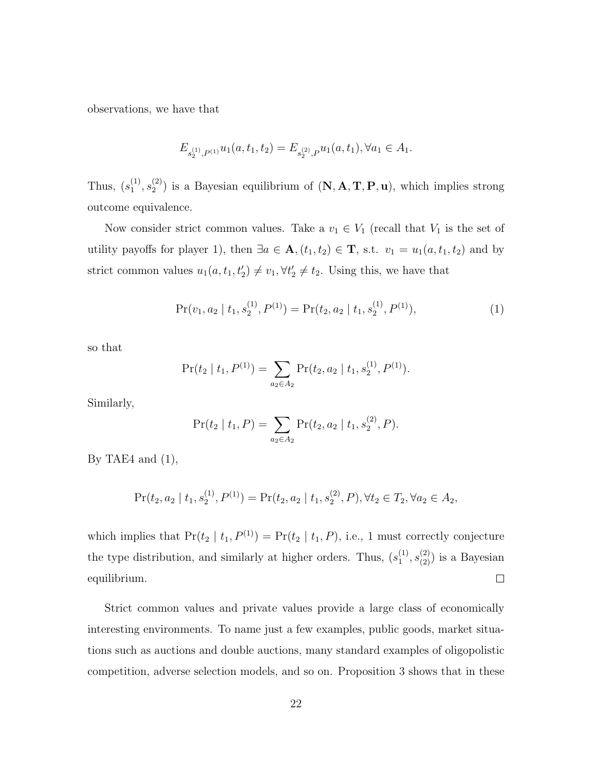observations, we have that

$$
E_{s_2^{(1)},P^{(1)}}u_1(a,t_1,t_2) = E_{s_2^{(2)},P}u_1(a,t_1), \forall a_1 \in A_1.
$$

Thus,  $(s_1^{(1)}$  $\binom{11}{1},s_2^{(2)}$  $2^{(2)}$ ) is a Bayesian equilibrium of  $(N, A, T, P, u)$ , which implies strong outcome equivalence.

Now consider strict common values. Take a  $v_1 \in V_1$  (recall that  $V_1$  is the set of utility payoffs for player 1), then  $\exists a \in \mathbf{A}, (t_1, t_2) \in \mathbf{T}$ , s.t.  $v_1 = u_1(a, t_1, t_2)$  and by strict common values  $u_1(a, t_1, t_2') \neq v_1, \forall t_2' \neq t_2$ . Using this, we have that

$$
Pr(v_1, a_2 | t_1, s_2^{(1)}, P^{(1)}) = Pr(t_2, a_2 | t_1, s_2^{(1)}, P^{(1)}),
$$
\n(1)

so that

$$
Pr(t_2 | t_1, P^{(1)}) = \sum_{a_2 \in A_2} Pr(t_2, a_2 | t_1, s_2^{(1)}, P^{(1)}).
$$

Similarly,

$$
Pr(t_2 | t_1, P) = \sum_{a_2 \in A_2} Pr(t_2, a_2 | t_1, s_2^{(2)}, P).
$$

By TAE4 and  $(1)$ ,

$$
\Pr(t_2, a_2 \mid t_1, s_2^{(1)}, P^{(1)}) = \Pr(t_2, a_2 \mid t_1, s_2^{(2)}, P), \forall t_2 \in T_2, \forall a_2 \in A_2,
$$

which implies that  $Pr(t_2 | t_1, P^{(1)}) = Pr(t_2 | t_1, P)$ , i.e., 1 must correctly conjecture the type distribution, and similarly at higher orders. Thus,  $(s_1^{(1)})$  $\binom{(1)}{1}, s_{(2)}^{(2)}$  is a Bayesian equilibrium.  $\Box$ 

Strict common values and private values provide a large class of economically interesting environments. To name just a few examples, public goods, market situations such as auctions and double auctions, many standard examples of oligopolistic competition, adverse selection models, and so on. Proposition 3 shows that in these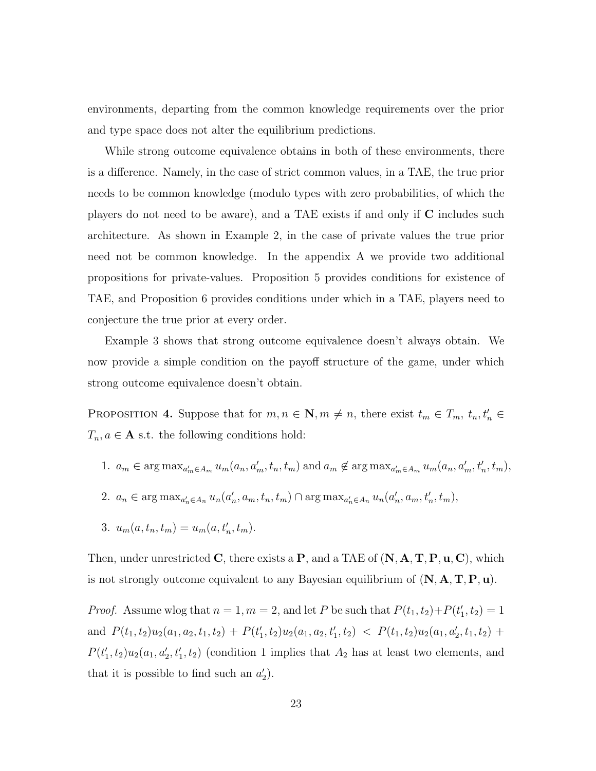environments, departing from the common knowledge requirements over the prior and type space does not alter the equilibrium predictions.

While strong outcome equivalence obtains in both of these environments, there is a difference. Namely, in the case of strict common values, in a TAE, the true prior needs to be common knowledge (modulo types with zero probabilities, of which the players do not need to be aware), and a TAE exists if and only if C includes such architecture. As shown in Example 2, in the case of private values the true prior need not be common knowledge. In the appendix A we provide two additional propositions for private-values. Proposition 5 provides conditions for existence of TAE, and Proposition 6 provides conditions under which in a TAE, players need to conjecture the true prior at every order.

Example 3 shows that strong outcome equivalence doesn't always obtain. We now provide a simple condition on the payoff structure of the game, under which strong outcome equivalence doesn't obtain.

PROPOSITION 4. Suppose that for  $m, n \in \mathbb{N}, m \neq n$ , there exist  $t_m \in T_m$ ,  $t_n, t'_n \in$  $T_n, a \in \mathbf{A}$  s.t. the following conditions hold:

- 1.  $a_m \in \arg \max_{a'_m \in A_m} u_m(a_n, a'_m, t_n, t_m)$  and  $a_m \notin \arg \max_{a'_m \in A_m} u_m(a_n, a'_m, t'_n, t_m)$ ,
- 2.  $a_n \in \arg \max_{a'_n \in A_n} u_n(a'_n, a_m, t_n, t_m) \cap \arg \max_{a'_n \in A_n} u_n(a'_n, a_m, t'_n, t_m)$ ,
- 3.  $u_m(a, t_n, t_m) = u_m(a, t'_n, t_m).$

Then, under unrestricted C, there exists a  $P$ , and a TAE of  $(N, A, T, P, u, C)$ , which is not strongly outcome equivalent to any Bayesian equilibrium of  $(N, A, T, P, u)$ .

*Proof.* Assume wlog that  $n = 1, m = 2$ , and let P be such that  $P(t_1, t_2) + P(t'_1, t_2) = 1$ and  $P(t_1, t_2)u_2(a_1, a_2, t_1, t_2) + P(t'_1, t_2)u_2(a_1, a_2, t'_1, t_2) < P(t_1, t_2)u_2(a_1, a'_2, t_1, t_2) +$  $P(t_1', t_2)u_2(a_1, a_2', t_1', t_2)$  (condition 1 implies that  $A_2$  has at least two elements, and that it is possible to find such an  $a'_2$ ).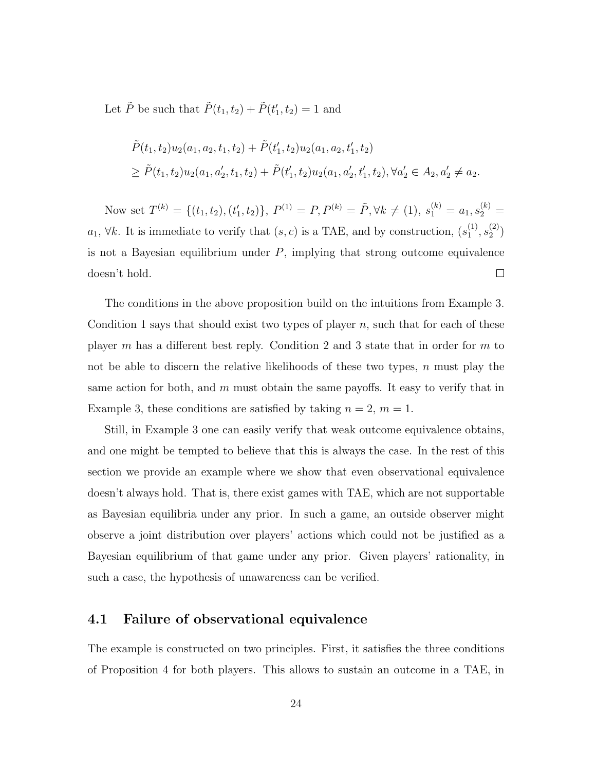Let  $\tilde{P}$  be such that  $\tilde{P}(t_1, t_2) + \tilde{P}(t'_1, t_2) = 1$  and

$$
\tilde{P}(t_1, t_2)u_2(a_1, a_2, t_1, t_2) + \tilde{P}(t'_1, t_2)u_2(a_1, a_2, t'_1, t_2)
$$
\n
$$
\geq \tilde{P}(t_1, t_2)u_2(a_1, a'_2, t_1, t_2) + \tilde{P}(t'_1, t_2)u_2(a_1, a'_2, t'_1, t_2), \forall a'_2 \in A_2, a'_2 \neq a_2.
$$

Now set  $T^{(k)} = \{(t_1, t_2), (t'_1, t_2)\}, P^{(1)} = P, P^{(k)} = \tilde{P}, \forall k \neq (1), s_1^{(k)} = a_1, s_2^{(k)} =$  $a_1, \forall k$ . It is immediate to verify that  $(s, c)$  is a TAE, and by construction,  $(s_1^{(1)})$  $\binom{11}{1},s_2^{(2)}$  $\binom{2}{2}$ is not a Bayesian equilibrium under  $P$ , implying that strong outcome equivalence doesn't hold.  $\Box$ 

The conditions in the above proposition build on the intuitions from Example 3. Condition 1 says that should exist two types of player  $n$ , such that for each of these player m has a different best reply. Condition 2 and 3 state that in order for m to not be able to discern the relative likelihoods of these two types,  $n$  must play the same action for both, and  $m$  must obtain the same payoffs. It easy to verify that in Example 3, these conditions are satisfied by taking  $n = 2, m = 1$ .

Still, in Example 3 one can easily verify that weak outcome equivalence obtains, and one might be tempted to believe that this is always the case. In the rest of this section we provide an example where we show that even observational equivalence doesn't always hold. That is, there exist games with TAE, which are not supportable as Bayesian equilibria under any prior. In such a game, an outside observer might observe a joint distribution over players' actions which could not be justified as a Bayesian equilibrium of that game under any prior. Given players' rationality, in such a case, the hypothesis of unawareness can be verified.

#### 4.1 Failure of observational equivalence

The example is constructed on two principles. First, it satisfies the three conditions of Proposition 4 for both players. This allows to sustain an outcome in a TAE, in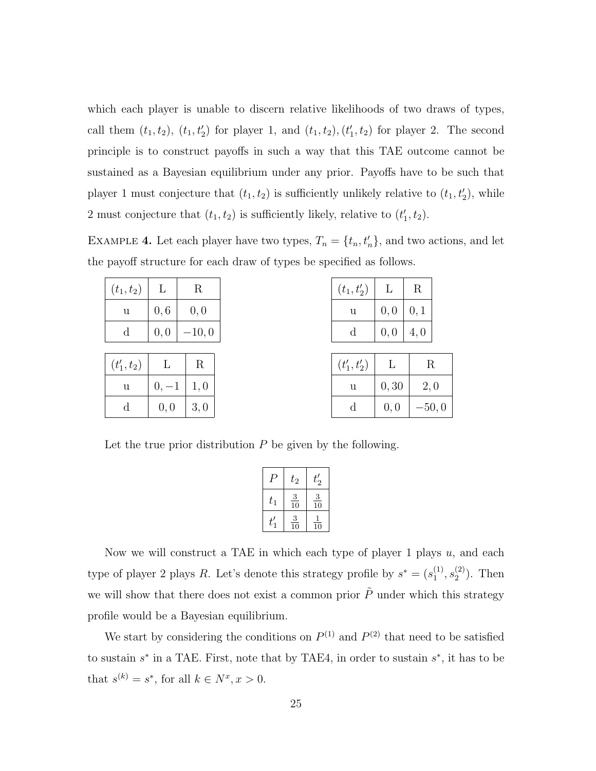which each player is unable to discern relative likelihoods of two draws of types, call them  $(t_1, t_2)$ ,  $(t_1, t_2)$  for player 1, and  $(t_1, t_2)$ ,  $(t_1', t_2)$  for player 2. The second principle is to construct payoffs in such a way that this TAE outcome cannot be sustained as a Bayesian equilibrium under any prior. Payoffs have to be such that player 1 must conjecture that  $(t_1, t_2)$  is sufficiently unlikely relative to  $(t_1, t_2)$ , while 2 must conjecture that  $(t_1, t_2)$  is sufficiently likely, relative to  $(t'_1, t_2)$ .

EXAMPLE 4. Let each player have two types,  $T_n = \{t_n, t'_n\}$ , and two actions, and let the payoff structure for each draw of types be specified as follows.

| $(t_1, t_2)$  | L       | R       |     |  |
|---------------|---------|---------|-----|--|
| u             | 0, 6    | 0,0     |     |  |
| $_{\rm d}$    | 0, 0    | $-10,0$ |     |  |
|               |         |         |     |  |
| $(t'_1, t_2)$ | L       |         | R   |  |
| u             | $0, -1$ |         | 1,0 |  |
| d             | 0,0     |         | 3,0 |  |

| $(t_{1}, t'_{2})$ |      | R    |
|-------------------|------|------|
| u                 | 0, 0 | 0, 1 |
| d                 | 0, 0 | 4,0  |

| $(t'_1, t'_2)$ | L     | R.      |
|----------------|-------|---------|
| u              | 0, 30 | 2,0     |
| d              | 0, 0  | $-50,0$ |

Let the true prior distribution  $P$  be given by the following.

|         | $t_{\rm 2}$                                | $\mathbb{Z}_2$                             |
|---------|--------------------------------------------|--------------------------------------------|
| $t_{1}$ | $\overline{\mathbf{3}}$<br>$\overline{10}$ | $\overline{\mathbf{3}}$<br>$\overline{10}$ |
|         | $\frac{3}{10}$                             | 10                                         |

Now we will construct a TAE in which each type of player 1 plays  $u$ , and each type of player 2 plays R. Let's denote this strategy profile by  $s^* = (s_1^{(1)})$  $\binom{11}{1}, s_2^{(2)}$  $2^{(2)}$ ). Then we will show that there does not exist a common prior  $\tilde{P}$  under which this strategy profile would be a Bayesian equilibrium.

We start by considering the conditions on  $P^{(1)}$  and  $P^{(2)}$  that need to be satisfied to sustain  $s^*$  in a TAE. First, note that by TAE4, in order to sustain  $s^*$ , it has to be that  $s^{(k)} = s^*$ , for all  $k \in N^x, x > 0$ .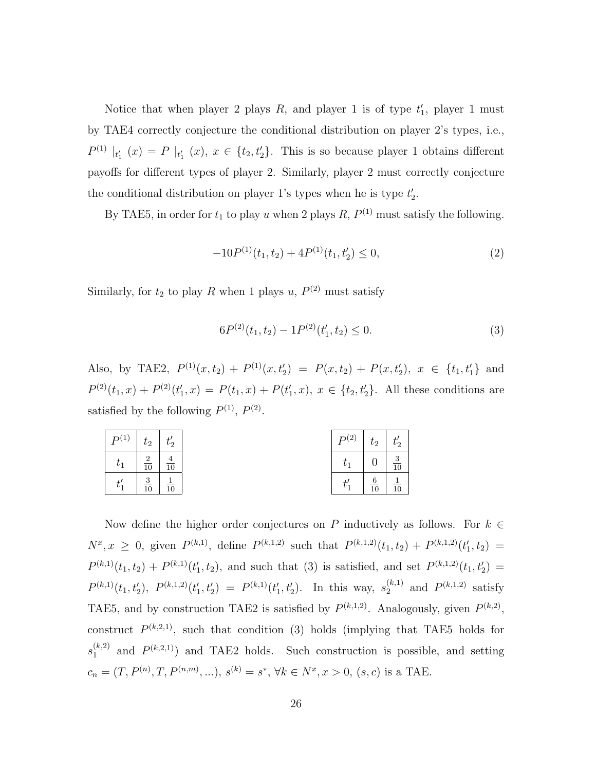Notice that when player 2 plays  $R$ , and player 1 is of type  $t_1'$ , player 1 must by TAE4 correctly conjecture the conditional distribution on player 2's types, i.e.,  $P^{(1)}|_{t_1'}(x) = P|_{t_1'}(x), x \in \{t_2, t_2'\}.$  This is so because player 1 obtains different payoffs for different types of player 2. Similarly, player 2 must correctly conjecture the conditional distribution on player 1's types when he is type  $t_2'$ .

By TAE5, in order for  $t_1$  to play u when 2 plays R,  $P^{(1)}$  must satisfy the following.

$$
-10P^{(1)}(t_1, t_2) + 4P^{(1)}(t_1, t_2') \le 0,
$$
\n<sup>(2)</sup>

Similarly, for  $t_2$  to play R when 1 plays u,  $P^{(2)}$  must satisfy

$$
6P^{(2)}(t_1, t_2) - 1P^{(2)}(t'_1, t_2) \le 0.
$$
\n(3)

Also, by TAE2,  $P^{(1)}(x,t_2) + P^{(1)}(x,t_2') = P(x,t_2) + P(x,t_2'), x \in \{t_1, t_1'\}$  and  $P^{(2)}(t_1,x) + P^{(2)}(t'_1,x) = P(t_1,x) + P(t'_1,x), x \in \{t_2, t'_2\}.$  All these conditions are satisfied by the following  $P^{(1)}$ ,  $P^{(2)}$ .

| $P^{(1)}$ | $t_2$                    | $^{i}2$         | $D^{(2)}$ | $t_{\rm 2}$    | $^{i}2$        |
|-----------|--------------------------|-----------------|-----------|----------------|----------------|
|           | $\Omega$<br>$rac{2}{10}$ | $\frac{4}{10}$  | $t_{1}$   |                | $\frac{3}{10}$ |
|           | $\Omega$<br>$rac{5}{10}$ | $\overline{10}$ |           | $\frac{6}{10}$ | $\frac{1}{10}$ |

Now define the higher order conjectures on P inductively as follows. For  $k \in$  $N^x, x \geq 0$ , given  $P^{(k,1)}$ , define  $P^{(k,1,2)}$  such that  $P^{(k,1,2)}(t_1,t_2) + P^{(k,1,2)}(t_1',t_2) =$  $P^{(k,1)}(t_1,t_2) + P^{(k,1)}(t_1',t_2)$ , and such that (3) is satisfied, and set  $P^{(k,1,2)}(t_1,t_2') =$  $P^{(k,1)}(t_1, t_2'), P^{(k,1,2)}(t_1', t_2') = P^{(k,1)}(t_1', t_2').$  In this way,  $s_2^{(k,1)}$  $_2^{(k,1)}$  and  $P^{(k,1,2)}$  satisfy TAE5, and by construction TAE2 is satisfied by  $P^{(k,1,2)}$ . Analogously, given  $P^{(k,2)}$ , construct  $P^{(k,2,1)}$ , such that condition (3) holds (implying that TAE5 holds for  $s_1^{(k,2)}$  $1^{(k,2)}$  and  $P^{(k,2,1)}$  and TAE2 holds. Such construction is possible, and setting  $c_n = (T, P^{(n)}, T, P^{(n,m)}, \ldots), s^{(k)} = s^*, \forall k \in N^x, x > 0, (s, c)$  is a TAE.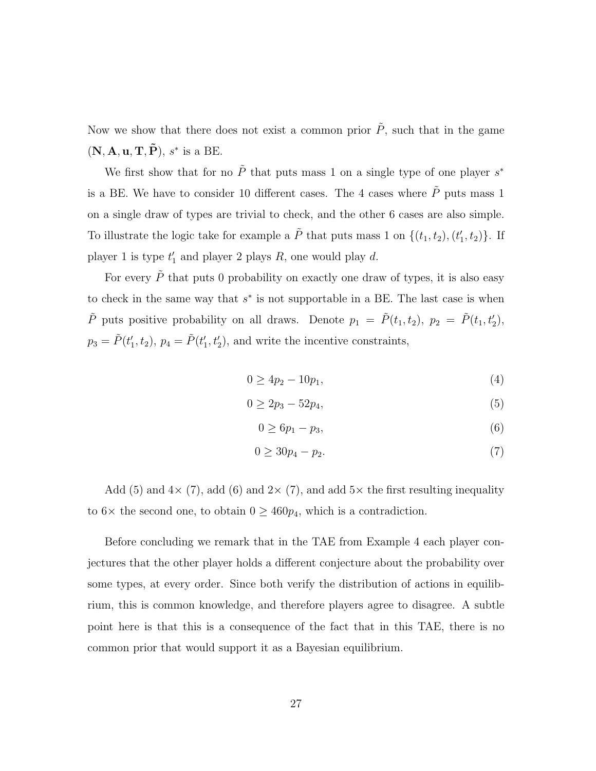Now we show that there does not exist a common prior  $\tilde{P}$ , such that in the game  $(N, A, u, T, \tilde{P}), s^*$  is a BE.

We first show that for no  $\tilde{P}$  that puts mass 1 on a single type of one player  $s^*$ is a BE. We have to consider 10 different cases. The 4 cases where  $\tilde{P}$  puts mass 1 on a single draw of types are trivial to check, and the other 6 cases are also simple. To illustrate the logic take for example a  $\tilde{P}$  that puts mass 1 on  $\{(t_1, t_2), (t'_1, t_2)\}$ . If player 1 is type  $t'_1$  and player 2 plays R, one would play d.

For every  $\tilde{P}$  that puts 0 probability on exactly one draw of types, it is also easy to check in the same way that  $s^*$  is not supportable in a BE. The last case is when  $\tilde{P}$  puts positive probability on all draws. Denote  $p_1 = \tilde{P}(t_1, t_2)$ ,  $p_2 = \tilde{P}(t_1, t_2)$ ,  $p_3 = \tilde{P}(t'_1, t_2), p_4 = \tilde{P}(t'_1, t'_2),$  and write the incentive constraints,

$$
0 \ge 4p_2 - 10p_1,\tag{4}
$$

$$
0 \ge 2p_3 - 52p_4,\tag{5}
$$

$$
0 \ge 6p_1 - p_3,\tag{6}
$$

$$
0 \ge 30p_4 - p_2. \tag{7}
$$

Add (5) and  $4\times$  (7), add (6) and  $2\times$  (7), and add  $5\times$  the first resulting inequality to  $6\times$  the second one, to obtain  $0 \geq 460p_4$ , which is a contradiction.

Before concluding we remark that in the TAE from Example 4 each player conjectures that the other player holds a different conjecture about the probability over some types, at every order. Since both verify the distribution of actions in equilibrium, this is common knowledge, and therefore players agree to disagree. A subtle point here is that this is a consequence of the fact that in this TAE, there is no common prior that would support it as a Bayesian equilibrium.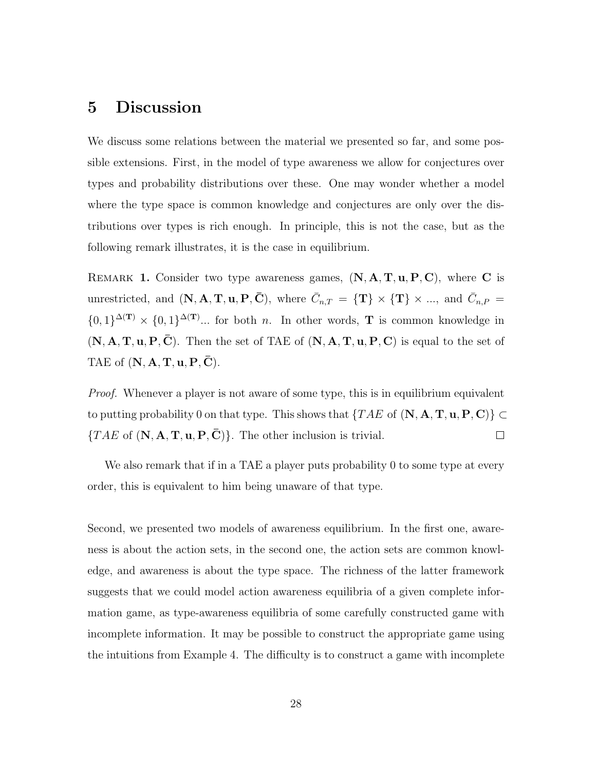### 5 Discussion

We discuss some relations between the material we presented so far, and some possible extensions. First, in the model of type awareness we allow for conjectures over types and probability distributions over these. One may wonder whether a model where the type space is common knowledge and conjectures are only over the distributions over types is rich enough. In principle, this is not the case, but as the following remark illustrates, it is the case in equilibrium.

REMARK 1. Consider two type awareness games,  $(N, A, T, u, P, C)$ , where C is unrestricted, and  $(N, \mathbf{A}, \mathbf{T}, \mathbf{u}, \mathbf{P}, \bar{\mathbf{C}})$ , where  $\bar{C}_{n,T} = {\mathbf{T}} \times {\mathbf{T}} \times ...$ , and  $\bar{C}_{n,P} = {\mathbf{T}}$  $\{0,1\}^{\Delta(\mathbf{T})}\times\{0,1\}^{\Delta(\mathbf{T})}\dots$  for both *n*. In other words, **T** is common knowledge in  $(N, A, T, u, P, \overline{C})$ . Then the set of TAE of  $(N, A, T, u, P, C)$  is equal to the set of TAE of  $(N, A, T, u, P, \overline{C})$ .

*Proof.* Whenever a player is not aware of some type, this is in equilibrium equivalent to putting probability 0 on that type. This shows that  $\{TAE \text{ of } (\mathbf{N}, \mathbf{A}, \mathbf{T}, \mathbf{u}, \mathbf{P}, \mathbf{C})\} \subset$  $\{TAE \text{ of } (\mathbf{N}, \mathbf{A}, \mathbf{T}, \mathbf{u}, \mathbf{P}, \mathbf{C})\}.$  The other inclusion is trivial.  $\Box$ 

We also remark that if in a TAE a player puts probability 0 to some type at every order, this is equivalent to him being unaware of that type.

Second, we presented two models of awareness equilibrium. In the first one, awareness is about the action sets, in the second one, the action sets are common knowledge, and awareness is about the type space. The richness of the latter framework suggests that we could model action awareness equilibria of a given complete information game, as type-awareness equilibria of some carefully constructed game with incomplete information. It may be possible to construct the appropriate game using the intuitions from Example 4. The difficulty is to construct a game with incomplete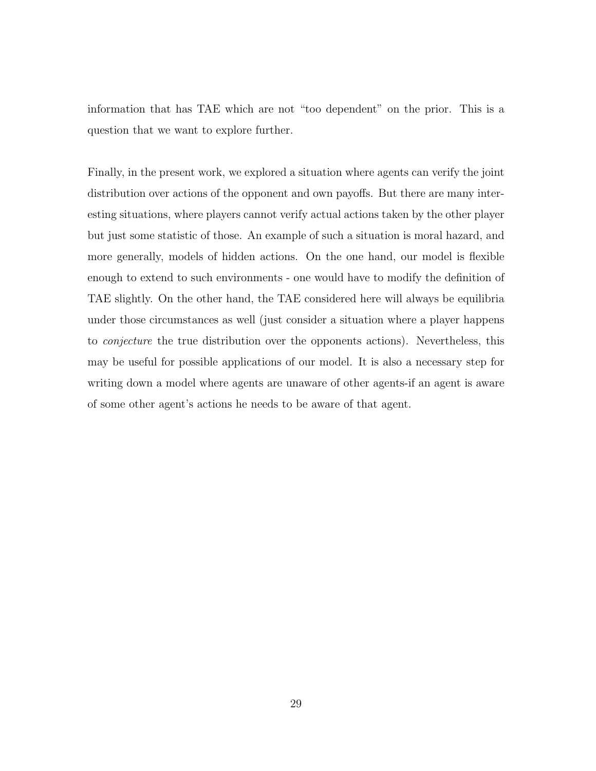information that has TAE which are not "too dependent" on the prior. This is a question that we want to explore further.

Finally, in the present work, we explored a situation where agents can verify the joint distribution over actions of the opponent and own payoffs. But there are many interesting situations, where players cannot verify actual actions taken by the other player but just some statistic of those. An example of such a situation is moral hazard, and more generally, models of hidden actions. On the one hand, our model is flexible enough to extend to such environments - one would have to modify the definition of TAE slightly. On the other hand, the TAE considered here will always be equilibria under those circumstances as well (just consider a situation where a player happens to conjecture the true distribution over the opponents actions). Nevertheless, this may be useful for possible applications of our model. It is also a necessary step for writing down a model where agents are unaware of other agents-if an agent is aware of some other agent's actions he needs to be aware of that agent.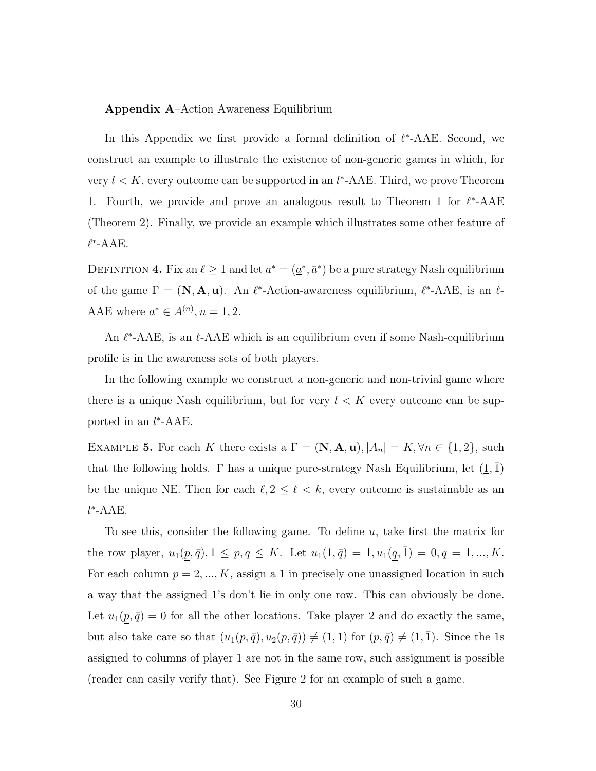#### Appendix A–Action Awareness Equilibrium

In this Appendix we first provide a formal definition of  $\ell^*$ -AAE. Second, we construct an example to illustrate the existence of non-generic games in which, for very  $l < K$ , every outcome can be supported in an  $l^*$ -AAE. Third, we prove Theorem 1. Fourth, we provide and prove an analogous result to Theorem 1 for  $\ell^*$ -AAE (Theorem 2). Finally, we provide an example which illustrates some other feature of  $\ell^*$ -AAE.

DEFINITION 4. Fix an  $\ell \geq 1$  and let  $a^* = (\underline{a}^*, \overline{a}^*)$  be a pure strategy Nash equilibrium of the game  $\Gamma = (\mathbf{N}, \mathbf{A}, \mathbf{u})$ . An  $\ell^*$ -Action-awareness equilibrium,  $\ell^*$ -AAE, is an  $\ell$ -AAE where  $a^* \in A^{(n)}$ ,  $n = 1, 2$ .

An  $\ell^*$ -AAE, is an  $\ell$ -AAE which is an equilibrium even if some Nash-equilibrium profile is in the awareness sets of both players.

In the following example we construct a non-generic and non-trivial game where there is a unique Nash equilibrium, but for very  $l < K$  every outcome can be supported in an  $l^*$ -AAE.

EXAMPLE 5. For each K there exists a  $\Gamma = (\mathbf{N}, \mathbf{A}, \mathbf{u}), |A_n| = K, \forall n \in \{1, 2\},\$ that the following holds. Γ has a unique pure-strategy Nash Equilibrium, let  $(1, 1)$ be the unique NE. Then for each  $\ell, 2 \leq \ell < k$ , every outcome is sustainable as an l ∗ -AAE.

To see this, consider the following game. To define  $u$ , take first the matrix for the row player,  $u_1(\underline{p}, \overline{q}), 1 \leq p, q \leq K$ . Let  $u_1(\underline{1}, \overline{q}) = 1, u_1(\underline{q}, \overline{1}) = 0, q = 1, ..., K$ . For each column  $p = 2, ..., K$ , assign a 1 in precisely one unassigned location in such a way that the assigned 1's don't lie in only one row. This can obviously be done. Let  $u_1(\underline{p}, \overline{q}) = 0$  for all the other locations. Take player 2 and do exactly the same, but also take care so that  $(u_1(\underline{p}, \overline{q}), u_2(\underline{p}, \overline{q})) \neq (1, 1)$  for  $(\underline{p}, \overline{q}) \neq (1, \overline{1})$ . Since the 1s assigned to columns of player 1 are not in the same row, such assignment is possible (reader can easily verify that). See Figure 2 for an example of such a game.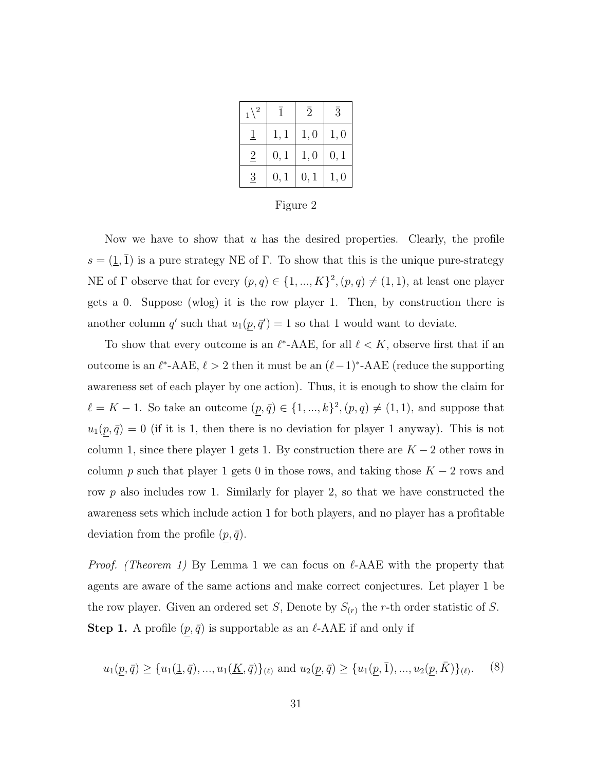| $_1\backslash^{\,2}$ |      | 2    | $\bar{3}$ |
|----------------------|------|------|-----------|
|                      | 1,1  | 1,0  | 1,0       |
| $\overline{2}$       | 0, 1 | 1,0  | 0, 1      |
| 3                    | 0, 1 | 0, 1 | 1,0       |

Figure 2

Now we have to show that  $u$  has the desired properties. Clearly, the profile  $s = (\underline{1}, \overline{1})$  is a pure strategy NE of Γ. To show that this is the unique pure-strategy NE of  $\Gamma$  observe that for every  $(p, q) \in \{1, ..., K\}^2$ ,  $(p, q) \neq (1, 1)$ , at least one player gets a 0. Suppose (wlog) it is the row player 1. Then, by construction there is another column q' such that  $u_1(p, \bar{q}') = 1$  so that 1 would want to deviate.

To show that every outcome is an  $\ell^*$ -AAE, for all  $\ell < K$ , observe first that if an outcome is an  $\ell^*$ -AAE,  $\ell > 2$  then it must be an  $(\ell - 1)^*$ -AAE (reduce the supporting awareness set of each player by one action). Thus, it is enough to show the claim for  $\ell = K - 1$ . So take an outcome  $(p, \bar{q}) \in \{1, ..., k\}^2$ ,  $(p, q) \neq (1, 1)$ , and suppose that  $u_1(\underline{p}, \overline{q}) = 0$  (if it is 1, then there is no deviation for player 1 anyway). This is not column 1, since there player 1 gets 1. By construction there are  $K - 2$  other rows in column p such that player 1 gets 0 in those rows, and taking those  $K - 2$  rows and row p also includes row 1. Similarly for player 2, so that we have constructed the awareness sets which include action 1 for both players, and no player has a profitable deviation from the profile  $(p, \bar{q})$ .

*Proof.* (Theorem 1) By Lemma 1 we can focus on  $\ell$ -AAE with the property that agents are aware of the same actions and make correct conjectures. Let player 1 be the row player. Given an ordered set S, Denote by  $S_{(r)}$  the r-th order statistic of S. **Step 1.** A profile  $(p, \bar{q})$  is supportable as an  $\ell$ -AAE if and only if

$$
u_1(\underline{p}, \overline{q}) \ge \{u_1(\underline{1}, \overline{q}), \dots, u_1(\underline{K}, \overline{q})\}_{(\ell)} \text{ and } u_2(\underline{p}, \overline{q}) \ge \{u_1(\underline{p}, \overline{1}), \dots, u_2(\underline{p}, \overline{K})\}_{(\ell)}. \tag{8}
$$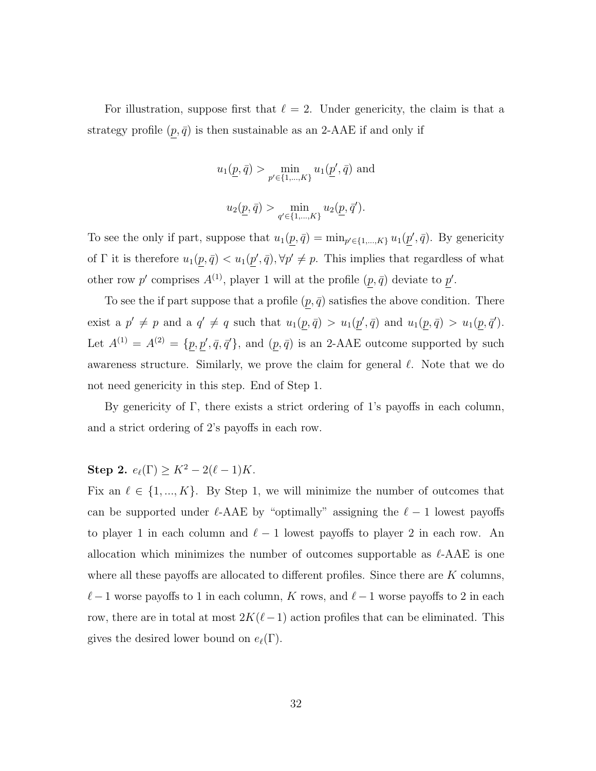For illustration, suppose first that  $\ell = 2$ . Under genericity, the claim is that a strategy profile  $(p, \bar{q})$  is then sustainable as an 2-AAE if and only if

$$
u_1(\underline{p}, \bar{q}) > \min_{p' \in \{1, ..., K\}} u_1(\underline{p}', \bar{q}) \text{ and}
$$
  

$$
u_2(\underline{p}, \bar{q}) > \min_{q' \in \{1, ..., K\}} u_2(\underline{p}, \bar{q}').
$$

To see the only if part, suppose that  $u_1(p, \bar{q}) = \min_{p' \in \{1, ..., K\}} u_1(p', \bar{q})$ . By genericity of  $\Gamma$  it is therefore  $u_1(p, \bar{q}) < u_1(p', \bar{q}), \forall p' \neq p$ . This implies that regardless of what other row p' comprises  $A^{(1)}$ , player 1 will at the profile  $(p, \bar{q})$  deviate to p'.

To see the if part suppose that a profile  $(p, \bar{q})$  satisfies the above condition. There exist a  $p' \neq p$  and a  $q' \neq q$  such that  $u_1(p, \bar{q}) > u_1(p', \bar{q})$  and  $u_1(p, \bar{q}) > u_1(p, \bar{q}')$ . Let  $A^{(1)} = A^{(2)} = \{p, p', \bar{q}, \bar{q}'\}$ , and  $(p, \bar{q})$  is an 2-AAE outcome supported by such awareness structure. Similarly, we prove the claim for general  $\ell$ . Note that we do not need genericity in this step. End of Step 1.

By genericity of Γ, there exists a strict ordering of 1's payoffs in each column, and a strict ordering of 2's payoffs in each row.

## **Step 2.**  $e_{\ell}(\Gamma) \ge K^2 - 2(\ell - 1)K$ .

Fix an  $\ell \in \{1, ..., K\}$ . By Step 1, we will minimize the number of outcomes that can be supported under  $\ell$ -AAE by "optimally" assigning the  $\ell - 1$  lowest payoffs to player 1 in each column and  $\ell - 1$  lowest payoffs to player 2 in each row. An allocation which minimizes the number of outcomes supportable as  $\ell$ -AAE is one where all these payoffs are allocated to different profiles. Since there are  $K$  columns,  $\ell - 1$  worse payoffs to 1 in each column, K rows, and  $\ell - 1$  worse payoffs to 2 in each row, there are in total at most  $2K(\ell-1)$  action profiles that can be eliminated. This gives the desired lower bound on  $e_{\ell}(\Gamma)$ .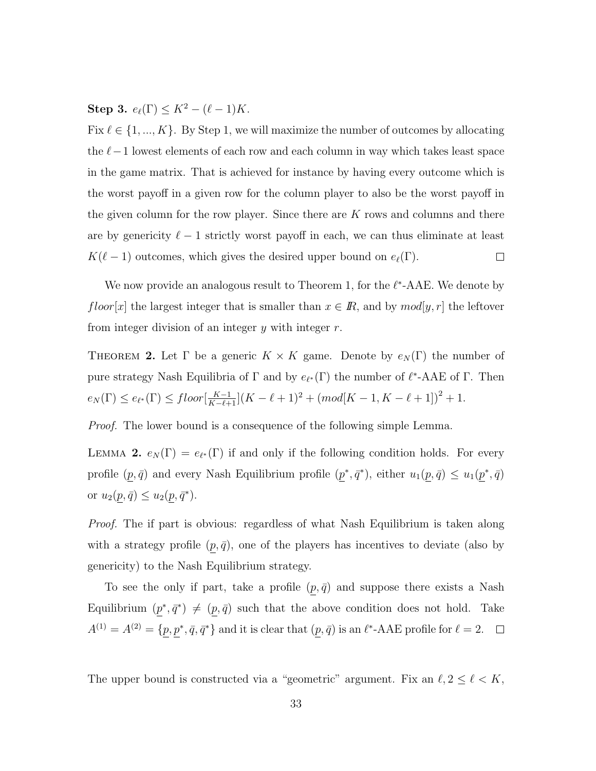Step 3.  $e_{\ell}(\Gamma) \leq K^2 - (\ell - 1)K$ .

Fix  $\ell \in \{1, ..., K\}$ . By Step 1, we will maximize the number of outcomes by allocating the  $\ell-1$  lowest elements of each row and each column in way which takes least space in the game matrix. That is achieved for instance by having every outcome which is the worst payoff in a given row for the column player to also be the worst payoff in the given column for the row player. Since there are  $K$  rows and columns and there are by genericity  $\ell - 1$  strictly worst payoff in each, we can thus eliminate at least  $K(\ell - 1)$  outcomes, which gives the desired upper bound on  $e_{\ell}(\Gamma)$ .  $\Box$ 

We now provide an analogous result to Theorem 1, for the  $\ell^*$ -AAE. We denote by floor[x] the largest integer that is smaller than  $x \in \mathbb{R}$ , and by  $mod[y, r]$  the leftover from integer division of an integer  $y$  with integer  $r$ .

THEOREM 2. Let  $\Gamma$  be a generic  $K \times K$  game. Denote by  $e_N(\Gamma)$  the number of pure strategy Nash Equilibria of  $\Gamma$  and by  $e_{\ell^*}(\Gamma)$  the number of  $\ell^*$ -AAE of  $\Gamma$ . Then  $e_N(\Gamma) \leq e_{\ell^*}(\Gamma) \leq floor\left[\frac{K-1}{K-\ell+1}\right](K-\ell+1)^2 + (mod[K-1, K-\ell+1])^2 + 1.$ 

Proof. The lower bound is a consequence of the following simple Lemma.

LEMMA 2.  $e_N(\Gamma) = e_{\ell^*}(\Gamma)$  if and only if the following condition holds. For every profile  $(p, \bar{q})$  and every Nash Equilibrium profile  $(p^*, \bar{q}^*)$ , either  $u_1(p, \bar{q}) \leq u_1(p^*, \bar{q})$ or  $u_2(p, \bar{q}) \le u_2(p, \bar{q}^*)$ .

Proof. The if part is obvious: regardless of what Nash Equilibrium is taken along with a strategy profile  $(p, \bar{q})$ , one of the players has incentives to deviate (also by genericity) to the Nash Equilibrium strategy.

To see the only if part, take a profile  $(p, \bar{q})$  and suppose there exists a Nash Equilibrium  $(p^*, \bar{q}^*) \neq (p, \bar{q})$  such that the above condition does not hold. Take  $A^{(1)} = A^{(2)} = \{p, p^*, \bar{q}, \bar{q}^*\}\$ and it is clear that  $(p, \bar{q})$  is an  $\ell^*$ -AAE profile for  $\ell = 2$ .

The upper bound is constructed via a "geometric" argument. Fix an  $\ell, 2 \leq \ell < K$ ,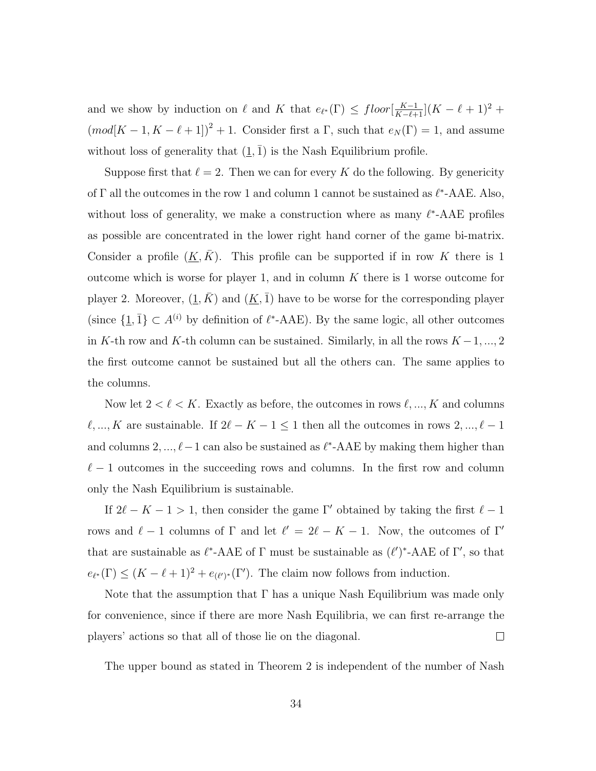and we show by induction on  $\ell$  and K that  $e_{\ell^*}(\Gamma) \leq \text{floor}[\frac{K-1}{K-\ell+1}](K-\ell+1)^2 +$  $(mod[K-1, K-\ell+1])^{2}+1.$  Consider first a  $\Gamma$ , such that  $e_{N}(\Gamma)=1$ , and assume without loss of generality that  $(1, \bar{1})$  is the Nash Equilibrium profile.

Suppose first that  $\ell = 2$ . Then we can for every K do the following. By genericity of  $\Gamma$  all the outcomes in the row 1 and column 1 cannot be sustained as  $\ell^*$ -AAE. Also, without loss of generality, we make a construction where as many  $\ell^*$ -AAE profiles as possible are concentrated in the lower right hand corner of the game bi-matrix. Consider a profile  $(\underline{K}, \overline{K})$ . This profile can be supported if in row K there is 1 outcome which is worse for player 1, and in column  $K$  there is 1 worse outcome for player 2. Moreover,  $(\underline{1}, K)$  and  $(\underline{K}, \overline{1})$  have to be worse for the corresponding player (since  $\{\underline{1}, \overline{1}\} \subset A^{(i)}$  by definition of  $\ell^*$ -AAE). By the same logic, all other outcomes in K-th row and K-th column can be sustained. Similarly, in all the rows  $K-1, ..., 2$ the first outcome cannot be sustained but all the others can. The same applies to the columns.

Now let  $2 < \ell < K$ . Exactly as before, the outcomes in rows  $\ell, ..., K$  and columns  $\ell, ..., K$  are sustainable. If  $2\ell - K - 1 \leq 1$  then all the outcomes in rows  $2, ..., \ell - 1$ and columns  $2, ..., \ell-1$  can also be sustained as  $\ell^*$ -AAE by making them higher than  $\ell - 1$  outcomes in the succeeding rows and columns. In the first row and column only the Nash Equilibrium is sustainable.

If  $2\ell - K - 1 > 1$ , then consider the game Γ' obtained by taking the first  $\ell - 1$ rows and  $\ell - 1$  columns of  $\Gamma$  and let  $\ell' = 2\ell - K - 1$ . Now, the outcomes of  $\Gamma'$ that are sustainable as  $\ell^*$ -AAE of  $\Gamma$  must be sustainable as  $(\ell')^*$ -AAE of  $\Gamma'$ , so that  $e_{\ell^*}(\Gamma) \leq (K - \ell + 1)^2 + e_{(\ell')^*}(\Gamma')$ . The claim now follows from induction.

Note that the assumption that  $\Gamma$  has a unique Nash Equilibrium was made only for convenience, since if there are more Nash Equilibria, we can first re-arrange the players' actions so that all of those lie on the diagonal.  $\Box$ 

The upper bound as stated in Theorem 2 is independent of the number of Nash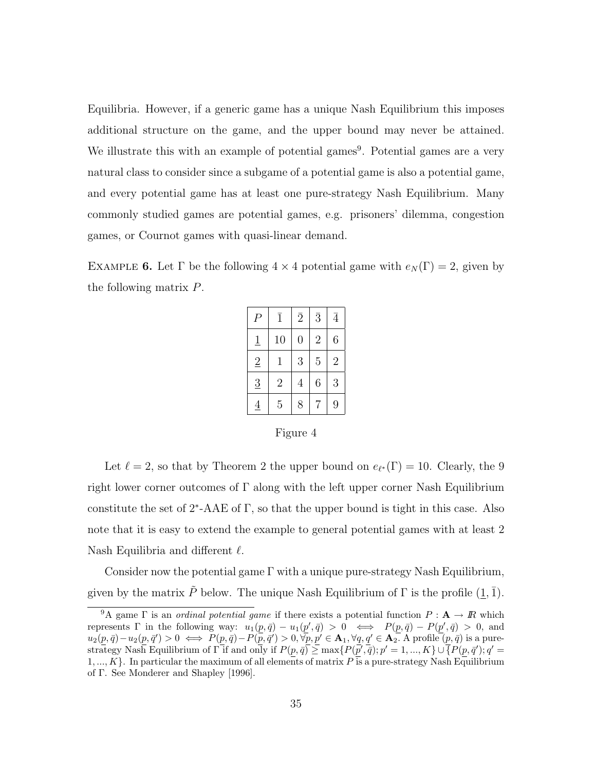Equilibria. However, if a generic game has a unique Nash Equilibrium this imposes additional structure on the game, and the upper bound may never be attained. We illustrate this with an example of potential games<sup>9</sup>. Potential games are a very natural class to consider since a subgame of a potential game is also a potential game, and every potential game has at least one pure-strategy Nash Equilibrium. Many commonly studied games are potential games, e.g. prisoners' dilemma, congestion games, or Cournot games with quasi-linear demand.

EXAMPLE 6. Let  $\Gamma$  be the following  $4 \times 4$  potential game with  $e_N(\Gamma) = 2$ , given by the following matrix P.

| P              | $\overline{1}$ | $\overline{2}$ | $\overline{3}$ | $\bar{4}$      |
|----------------|----------------|----------------|----------------|----------------|
| $\overline{1}$ | 10             | $\overline{0}$ | $\overline{2}$ | 6              |
| $\overline{2}$ | $\mathbf 1$    | 3              | $\overline{5}$ | $\overline{2}$ |
| $\overline{3}$ | $\overline{2}$ | $\overline{4}$ | 6              | 3              |
| $\overline{4}$ | $\overline{5}$ | 8              | 7              | 9              |

Figure 4

Let  $\ell = 2$ , so that by Theorem 2 the upper bound on  $e_{\ell^*}(\Gamma) = 10$ . Clearly, the 9 right lower corner outcomes of  $\Gamma$  along with the left upper corner Nash Equilibrium constitute the set of  $2^*$ -AAE of  $\Gamma$ , so that the upper bound is tight in this case. Also note that it is easy to extend the example to general potential games with at least 2 Nash Equilibria and different  $\ell$ .

Consider now the potential game  $\Gamma$  with a unique pure-strategy Nash Equilibrium, given by the matrix  $\tilde{P}$  below. The unique Nash Equilibrium of  $\Gamma$  is the profile  $(1, \overline{1})$ .

<sup>&</sup>lt;sup>9</sup>A game  $\Gamma$  is an *ordinal potential game* if there exists a potential function  $P: \mathbf{A} \to \mathbf{R}$  which represents  $\Gamma$  in the following way:  $u_1(p, \bar{q}) - u_1(p', \bar{q}) > 0 \iff P(p, \bar{q}) - P(p', \bar{q}) > 0$ , and  $u_2(p, \bar{q}) - u_2(p, \bar{q}') > 0 \iff P(p, \bar{q}) - P(\bar{p}, \bar{q}') > 0, \forall \bar{p}, p' \in \mathbf{A}_1, \forall q, q' \in \mathbf{A}_2$ . A profile  $(p, \bar{q})$  is a purestrategy Nash Equilibrium of  $\Gamma$  if and only if  $P(p, \bar{q}) \ge \max\{P(\bar{p}', \bar{q}); p' = 1, ..., K\} \cup \overline{\{P(p, \bar{q}'); q'} =$ 1, ..., K}. In particular the maximum of all elements of matrix  $P_1$  is a pure-strategy Nash Equilibrium of Γ. See Monderer and Shapley [1996].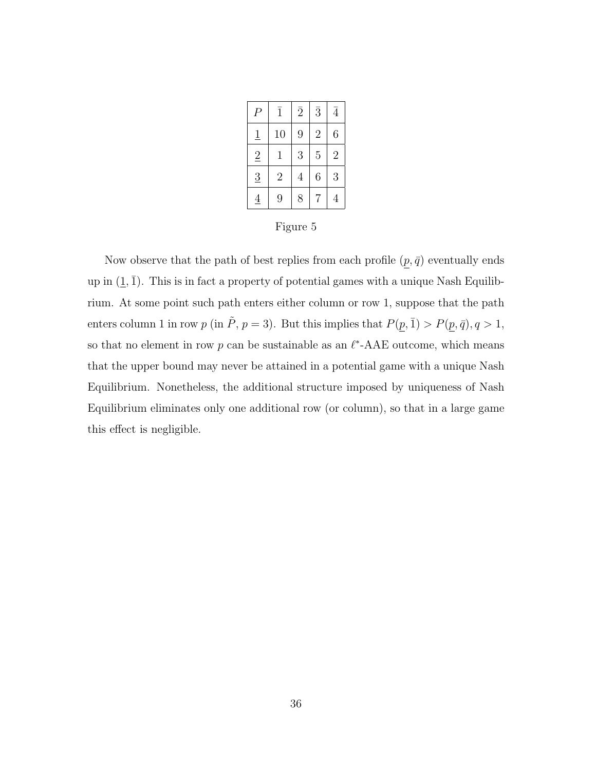| P              | $\overline{1}$ | $\overline{2}$ | $\overline{3}$ | $\bar{4}$      |
|----------------|----------------|----------------|----------------|----------------|
| $\overline{1}$ | 10             | 9              | $\overline{2}$ | 6              |
| $\overline{2}$ | 1              | 3              | $\overline{5}$ | $\overline{2}$ |
| $\overline{3}$ | $\overline{2}$ | $\overline{4}$ | 6              | 3              |
| $\overline{4}$ | 9              | 8              | 7              |                |

Figure 5

Now observe that the path of best replies from each profile  $(\underline{p},\bar{q})$  eventually ends up in  $(1, \bar{1})$ . This is in fact a property of potential games with a unique Nash Equilibrium. At some point such path enters either column or row 1, suppose that the path enters column 1 in row  $p$  (in  $\tilde{P}$ ,  $p = 3$ ). But this implies that  $P(\underline{p}, \bar{1}) > P(\underline{p}, \bar{q})$ ,  $q > 1$ , so that no element in row  $p$  can be sustainable as an  $\ell^*$ -AAE outcome, which means that the upper bound may never be attained in a potential game with a unique Nash Equilibrium. Nonetheless, the additional structure imposed by uniqueness of Nash Equilibrium eliminates only one additional row (or column), so that in a large game this effect is negligible.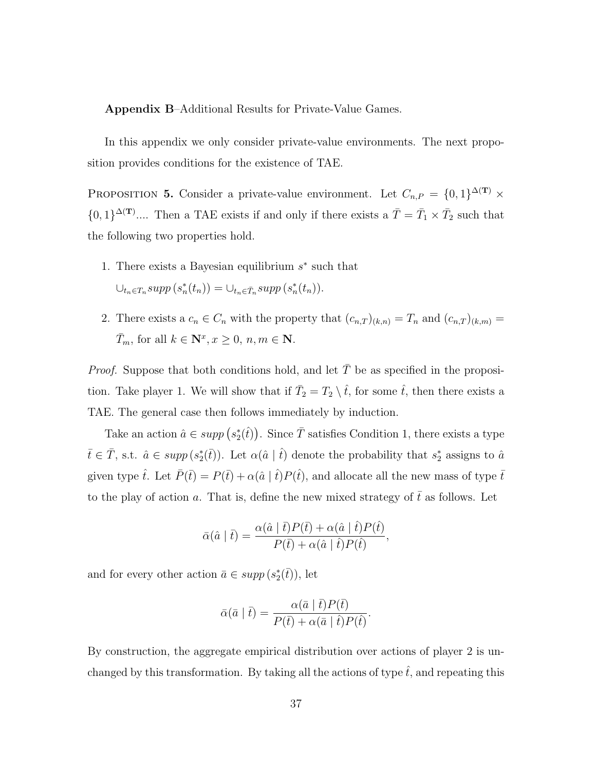Appendix B–Additional Results for Private-Value Games.

In this appendix we only consider private-value environments. The next proposition provides conditions for the existence of TAE.

PROPOSITION 5. Consider a private-value environment. Let  $C_{n,P} = \{0,1\}^{\Delta(\mathbf{T})} \times$  $\{0,1\}^{\Delta(\mathbf{T})}$ .... Then a TAE exists if and only if there exists a  $\overline{T} = \overline{T}_1 \times \overline{T}_2$  such that the following two properties hold.

- 1. There exists a Bayesian equilibrium  $s^*$  such that  $\bigcup_{t_n \in T_n} supp\left(s_n^*(t_n)\right) = \bigcup_{t_n \in \bar{T}_n} supp\left(s_n^*(t_n)\right).$
- 2. There exists a  $c_n \in C_n$  with the property that  $(c_{n,T})_{(k,n)} = T_n$  and  $(c_{n,T})_{(k,m)} =$  $\bar{T}_m$ , for all  $k \in \mathbf{N}^x, x \geq 0, n, m \in \mathbf{N}$ .

*Proof.* Suppose that both conditions hold, and let  $\overline{T}$  be as specified in the proposition. Take player 1. We will show that if  $\overline{T}_2 = T_2 \setminus \hat{t}$ , for some  $\hat{t}$ , then there exists a TAE. The general case then follows immediately by induction.

Take an action  $\hat{a} \in supp(s_2^*(\hat{t}))$ . Since  $\overline{T}$  satisfies Condition 1, there exists a type  $\bar{t} \in \bar{T}$ , s.t.  $\hat{a} \in supp(s_2^*(\bar{t}))$ . Let  $\alpha(\hat{a} | \hat{t})$  denote the probability that  $s_2^*$  assigns to  $\hat{a}$ given type  $\hat{t}$ . Let  $\bar{P}(\bar{t}) = P(\bar{t}) + \alpha(\hat{a} | \hat{t})P(\hat{t})$ , and allocate all the new mass of type  $\bar{t}$ to the play of action a. That is, define the new mixed strategy of  $\bar{t}$  as follows. Let

$$
\bar{\alpha}(\hat{a} \mid \bar{t}) = \frac{\alpha(\hat{a} \mid \bar{t}) P(\bar{t}) + \alpha(\hat{a} \mid \hat{t}) P(\hat{t})}{P(\bar{t}) + \alpha(\hat{a} \mid \hat{t}) P(\hat{t})},
$$

and for every other action  $\bar{a} \in \operatorname{supp}(s_2^*(\bar{t}))$ , let

$$
\bar{\alpha}(\bar{a} \mid \bar{t}) = \frac{\alpha(\bar{a} \mid \bar{t}) P(\bar{t})}{P(\bar{t}) + \alpha(\bar{a} \mid \hat{t}) P(\hat{t})}
$$

.

By construction, the aggregate empirical distribution over actions of player 2 is unchanged by this transformation. By taking all the actions of type  $\hat{t}$ , and repeating this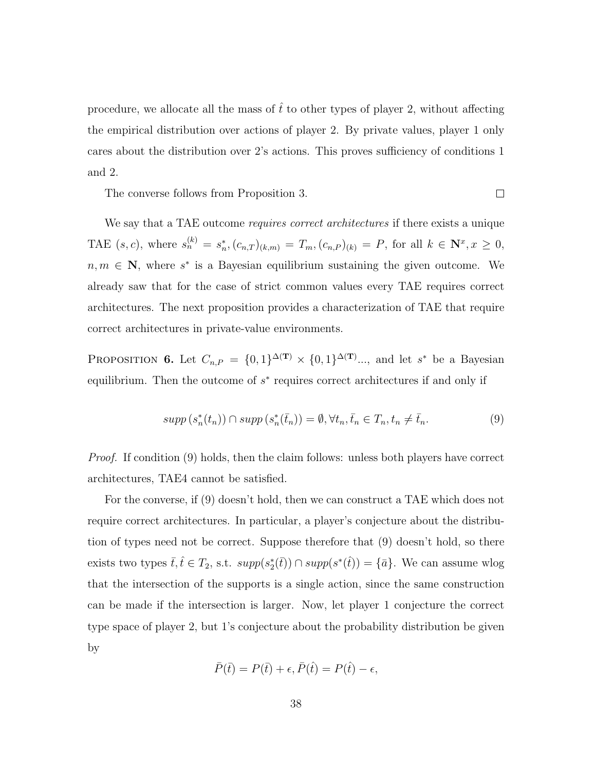procedure, we allocate all the mass of  $\hat{t}$  to other types of player 2, without affecting the empirical distribution over actions of player 2. By private values, player 1 only cares about the distribution over 2's actions. This proves sufficiency of conditions 1 and 2.

The converse follows from Proposition 3.

We say that a TAE outcome *requires correct architectures* if there exists a unique TAE  $(s, c)$ , where  $s_n^{(k)} = s_n^*$ ,  $(c_{n,T})_{(k,m)} = T_m$ ,  $(c_{n,P})_{(k)} = P$ , for all  $k \in \mathbb{N}^x$ ,  $x \ge 0$ ,  $n, m \in \mathbb{N}$ , where s<sup>\*</sup> is a Bayesian equilibrium sustaining the given outcome. We already saw that for the case of strict common values every TAE requires correct architectures. The next proposition provides a characterization of TAE that require correct architectures in private-value environments.

PROPOSITION 6. Let  $C_{n,P} = \{0,1\}^{\Delta(\mathbf{T})} \times \{0,1\}^{\Delta(\mathbf{T})} \dots$ , and let s<sup>\*</sup> be a Bayesian equilibrium. Then the outcome of  $s^*$  requires correct architectures if and only if

$$
supp(s_n^*(t_n)) \cap supp(s_n^*(\bar{t}_n)) = \emptyset, \forall t_n, \bar{t}_n \in T_n, t_n \neq \bar{t}_n. \tag{9}
$$

 $\Box$ 

*Proof.* If condition (9) holds, then the claim follows: unless both players have correct architectures, TAE4 cannot be satisfied.

For the converse, if (9) doesn't hold, then we can construct a TAE which does not require correct architectures. In particular, a player's conjecture about the distribution of types need not be correct. Suppose therefore that (9) doesn't hold, so there exists two types  $\bar{t}, \hat{t} \in T_2$ , s.t.  $supp(s_2^*(\bar{t})) \cap supp(s^*(\hat{t})) = {\bar{a}}$ . We can assume wlog that the intersection of the supports is a single action, since the same construction can be made if the intersection is larger. Now, let player 1 conjecture the correct type space of player 2, but 1's conjecture about the probability distribution be given by

$$
\bar{P}(\bar{t}) = P(\bar{t}) + \epsilon, \bar{P}(\hat{t}) = P(\hat{t}) - \epsilon,
$$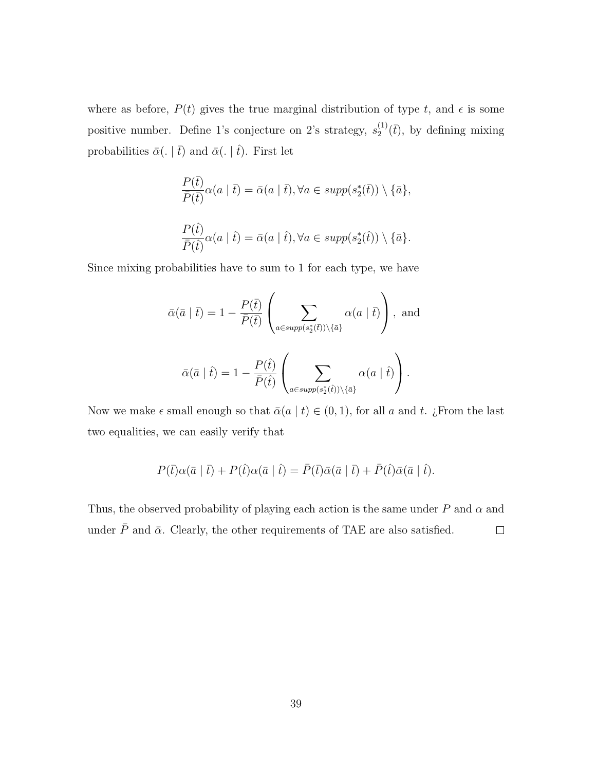where as before,  $P(t)$  gives the true marginal distribution of type t, and  $\epsilon$  is some positive number. Define 1's conjecture on 2's strategy,  $s_2^{(1)}$  $2^{(1)}(\bar{t})$ , by defining mixing probabilities  $\bar{\alpha}$ (. |  $\bar{t}$ ) and  $\bar{\alpha}$ (. |  $\hat{t}$ ). First let

$$
\frac{P(\bar{t})}{\bar{P}(\bar{t})}\alpha(a \mid \bar{t}) = \bar{\alpha}(a \mid \bar{t}), \forall a \in supp(s_2^*(\bar{t})) \setminus \{\bar{a}\},
$$
  

$$
\frac{P(\hat{t})}{\bar{P}(\hat{t})}\alpha(a \mid \hat{t}) = \bar{\alpha}(a \mid \hat{t}), \forall a \in supp(s_2^*(\hat{t})) \setminus \{\bar{a}\}.
$$

Since mixing probabilities have to sum to 1 for each type, we have

$$
\bar{\alpha}(\bar{a} \mid \bar{t}) = 1 - \frac{P(\bar{t})}{\bar{P}(\bar{t})} \left( \sum_{a \in supp(s_2^*(\bar{t})) \setminus \{\bar{a}\}} \alpha(a \mid \bar{t}) \right), \text{ and}
$$

$$
\bar{\alpha}(\bar{a} \mid \hat{t}) = 1 - \frac{P(\hat{t})}{\bar{P}(\hat{t})} \left( \sum_{a \in supp(s_2^*(\hat{t})) \setminus \{\bar{a}\}} \alpha(a \mid \hat{t}) \right).
$$

Now we make  $\epsilon$  small enough so that  $\bar{\alpha}(a \mid t) \in (0, 1)$ , for all a and t. ¿From the last two equalities, we can easily verify that

$$
P(\bar{t})\alpha(\bar{a} \mid \bar{t}) + P(\hat{t})\alpha(\bar{a} \mid \hat{t}) = \bar{P}(\bar{t})\bar{\alpha}(\bar{a} \mid \bar{t}) + \bar{P}(\hat{t})\bar{\alpha}(\bar{a} \mid \hat{t}).
$$

Thus, the observed probability of playing each action is the same under  $P$  and  $\alpha$  and under  $\bar{P}$  and  $\bar{\alpha}$ . Clearly, the other requirements of TAE are also satisfied.  $\Box$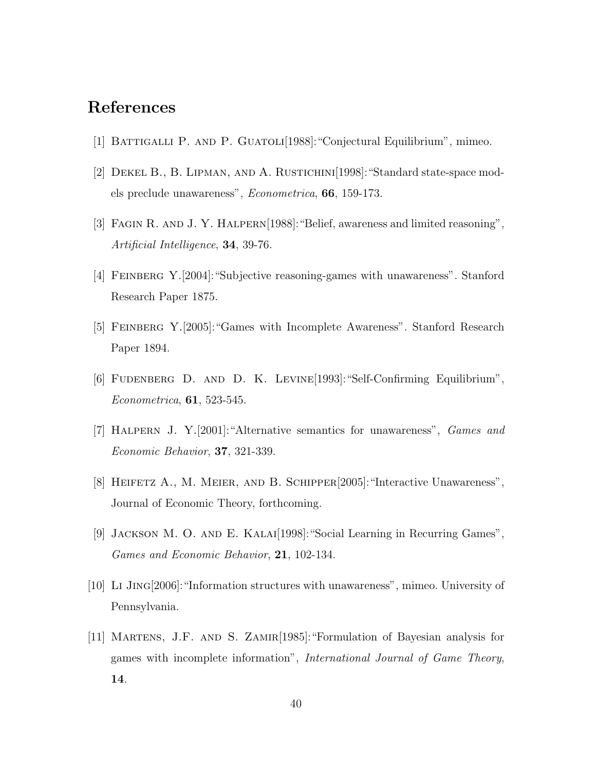## References

- [1] Battigalli P. and P. Guatoli[1988]:"Conjectural Equilibrium", mimeo.
- [2] Dekel B., B. Lipman, and A. Rustichini[1998]:"Standard state-space models preclude unawareness", Econometrica, 66, 159-173.
- [3] Fagin R. and J. Y. Halpern[1988]:"Belief, awareness and limited reasoning", Artificial Intelligence, 34, 39-76.
- [4] Feinberg Y.[2004]:"Subjective reasoning-games with unawareness". Stanford Research Paper 1875.
- [5] FEINBERG Y. [2005]: "Games with Incomplete Awareness". Stanford Research Paper 1894.
- [6] Fudenberg D. and D. K. Levine[1993]:"Self-Confirming Equilibrium", Econometrica, 61, 523-545.
- [7] Halpern J. Y.[2001]:"Alternative semantics for unawareness", Games and Economic Behavior, 37, 321-339.
- [8] HEIFETZ A., M. MEIER, AND B. SCHIPPER<sup>[2005]:</sup> "Interactive Unawareness", Journal of Economic Theory, forthcoming.
- [9] Jackson M. O. and E. Kalai[1998]:"Social Learning in Recurring Games", Games and Economic Behavior, 21, 102-134.
- [10] Li Jing[2006]:"Information structures with unawareness", mimeo. University of Pennsylvania.
- [11] MARTENS, J.F. AND S. ZAMIR[1985]: "Formulation of Bayesian analysis for games with incomplete information", International Journal of Game Theory, 14.